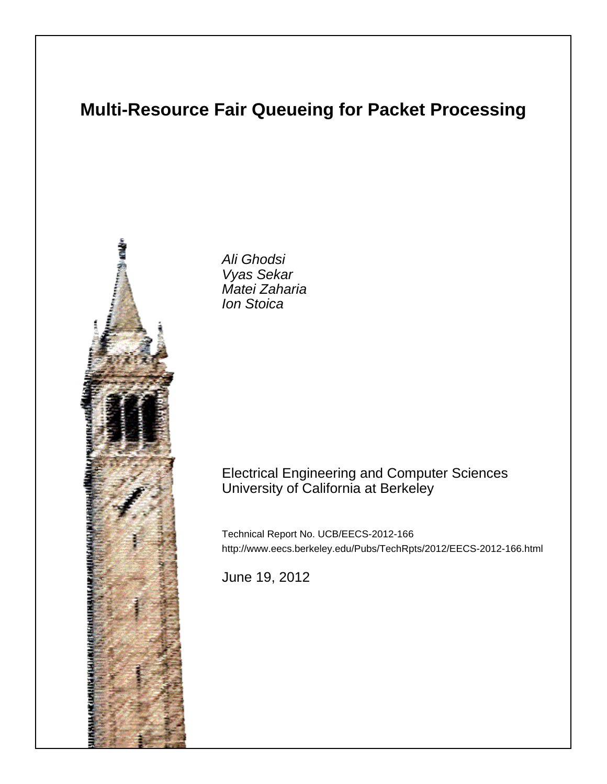# **Multi-Resource Fair Queueing for Packet Processing**



Ali Ghodsi Vyas Sekar Matei Zaharia Ion Stoica

# Electrical Engineering and Computer Sciences University of California at Berkeley

Technical Report No. UCB/EECS-2012-166 http://www.eecs.berkeley.edu/Pubs/TechRpts/2012/EECS-2012-166.html

June 19, 2012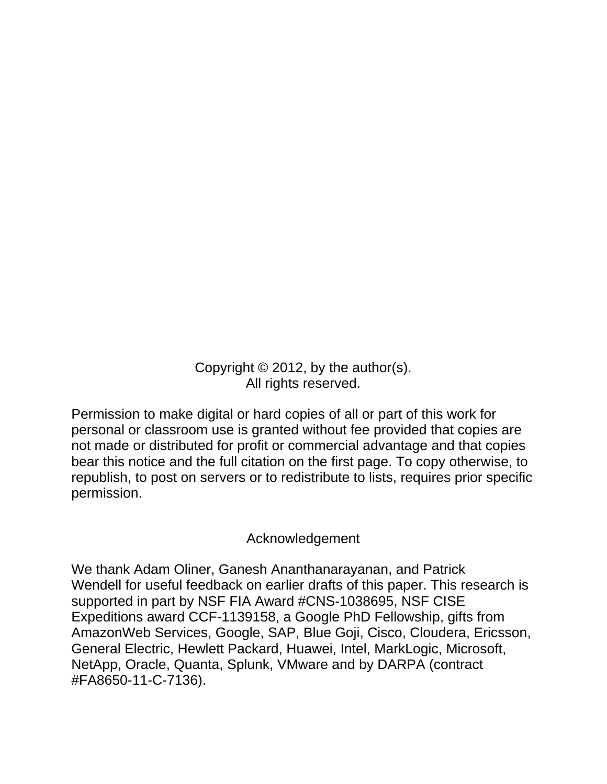Copyright © 2012, by the author(s). All rights reserved.

Permission to make digital or hard copies of all or part of this work for personal or classroom use is granted without fee provided that copies are not made or distributed for profit or commercial advantage and that copies bear this notice and the full citation on the first page. To copy otherwise, to republish, to post on servers or to redistribute to lists, requires prior specific permission.

# Acknowledgement

We thank Adam Oliner, Ganesh Ananthanarayanan, and Patrick Wendell for useful feedback on earlier drafts of this paper. This research is supported in part by NSF FIA Award #CNS-1038695, NSF CISE Expeditions award CCF-1139158, a Google PhD Fellowship, gifts from AmazonWeb Services, Google, SAP, Blue Goji, Cisco, Cloudera, Ericsson, General Electric, Hewlett Packard, Huawei, Intel, MarkLogic, Microsoft, NetApp, Oracle, Quanta, Splunk, VMware and by DARPA (contract #FA8650-11-C-7136).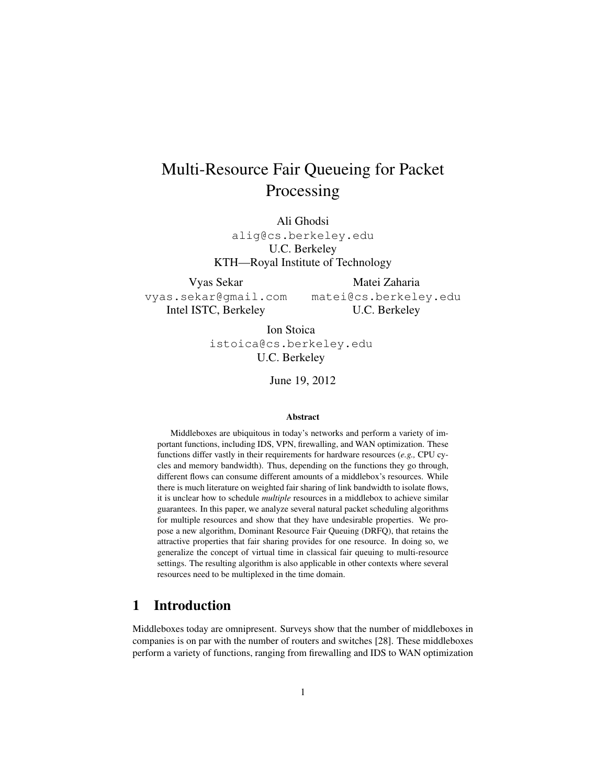# Multi-Resource Fair Queueing for Packet Processing

Ali Ghodsi alig@cs.berkeley.edu U.C. Berkeley KTH—Royal Institute of Technology

Vyas Sekar vyas.sekar@gmail.com Intel ISTC, Berkeley

Matei Zaharia matei@cs.berkeley.edu U.C. Berkeley

Ion Stoica istoica@cs.berkeley.edu U.C. Berkeley

June 19, 2012

#### **Abstract**

Middleboxes are ubiquitous in today's networks and perform a variety of important functions, including IDS, VPN, firewalling, and WAN optimization. These functions differ vastly in their requirements for hardware resources (*e.g.,* CPU cycles and memory bandwidth). Thus, depending on the functions they go through, different flows can consume different amounts of a middlebox's resources. While there is much literature on weighted fair sharing of link bandwidth to isolate flows, it is unclear how to schedule *multiple* resources in a middlebox to achieve similar guarantees. In this paper, we analyze several natural packet scheduling algorithms for multiple resources and show that they have undesirable properties. We propose a new algorithm, Dominant Resource Fair Queuing (DRFQ), that retains the attractive properties that fair sharing provides for one resource. In doing so, we generalize the concept of virtual time in classical fair queuing to multi-resource settings. The resulting algorithm is also applicable in other contexts where several resources need to be multiplexed in the time domain.

# 1 Introduction

Middleboxes today are omnipresent. Surveys show that the number of middleboxes in companies is on par with the number of routers and switches [28]. These middleboxes perform a variety of functions, ranging from firewalling and IDS to WAN optimization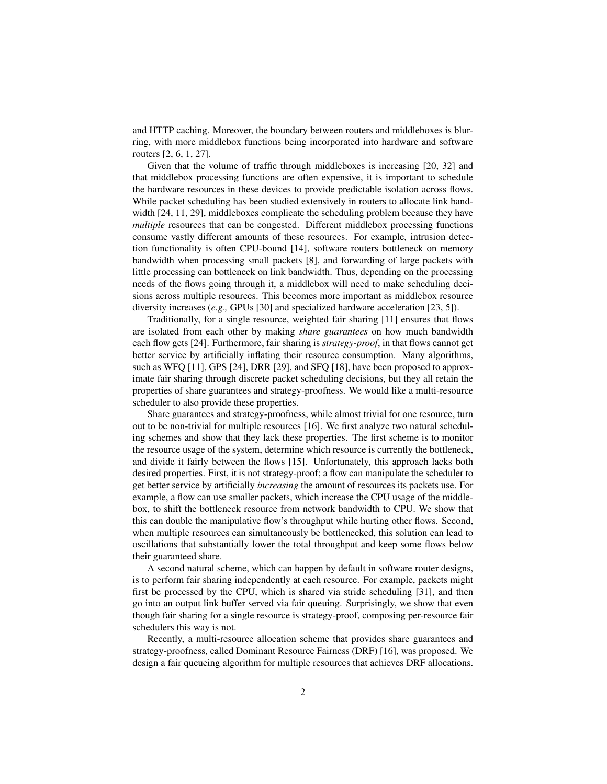and HTTP caching. Moreover, the boundary between routers and middleboxes is blurring, with more middlebox functions being incorporated into hardware and software routers [2, 6, 1, 27].

Given that the volume of traffic through middleboxes is increasing [20, 32] and that middlebox processing functions are often expensive, it is important to schedule the hardware resources in these devices to provide predictable isolation across flows. While packet scheduling has been studied extensively in routers to allocate link bandwidth [24, 11, 29], middleboxes complicate the scheduling problem because they have *multiple* resources that can be congested. Different middlebox processing functions consume vastly different amounts of these resources. For example, intrusion detection functionality is often CPU-bound [14], software routers bottleneck on memory bandwidth when processing small packets [8], and forwarding of large packets with little processing can bottleneck on link bandwidth. Thus, depending on the processing needs of the flows going through it, a middlebox will need to make scheduling decisions across multiple resources. This becomes more important as middlebox resource diversity increases (*e.g.,* GPUs [30] and specialized hardware acceleration [23, 5]).

Traditionally, for a single resource, weighted fair sharing [11] ensures that flows are isolated from each other by making *share guarantees* on how much bandwidth each flow gets [24]. Furthermore, fair sharing is *strategy-proof*, in that flows cannot get better service by artificially inflating their resource consumption. Many algorithms, such as WFQ [11], GPS [24], DRR [29], and SFQ [18], have been proposed to approximate fair sharing through discrete packet scheduling decisions, but they all retain the properties of share guarantees and strategy-proofness. We would like a multi-resource scheduler to also provide these properties.

Share guarantees and strategy-proofness, while almost trivial for one resource, turn out to be non-trivial for multiple resources [16]. We first analyze two natural scheduling schemes and show that they lack these properties. The first scheme is to monitor the resource usage of the system, determine which resource is currently the bottleneck, and divide it fairly between the flows [15]. Unfortunately, this approach lacks both desired properties. First, it is not strategy-proof; a flow can manipulate the scheduler to get better service by artificially *increasing* the amount of resources its packets use. For example, a flow can use smaller packets, which increase the CPU usage of the middlebox, to shift the bottleneck resource from network bandwidth to CPU. We show that this can double the manipulative flow's throughput while hurting other flows. Second, when multiple resources can simultaneously be bottlenecked, this solution can lead to oscillations that substantially lower the total throughput and keep some flows below their guaranteed share.

A second natural scheme, which can happen by default in software router designs, is to perform fair sharing independently at each resource. For example, packets might first be processed by the CPU, which is shared via stride scheduling [31], and then go into an output link buffer served via fair queuing. Surprisingly, we show that even though fair sharing for a single resource is strategy-proof, composing per-resource fair schedulers this way is not.

Recently, a multi-resource allocation scheme that provides share guarantees and strategy-proofness, called Dominant Resource Fairness (DRF) [16], was proposed. We design a fair queueing algorithm for multiple resources that achieves DRF allocations.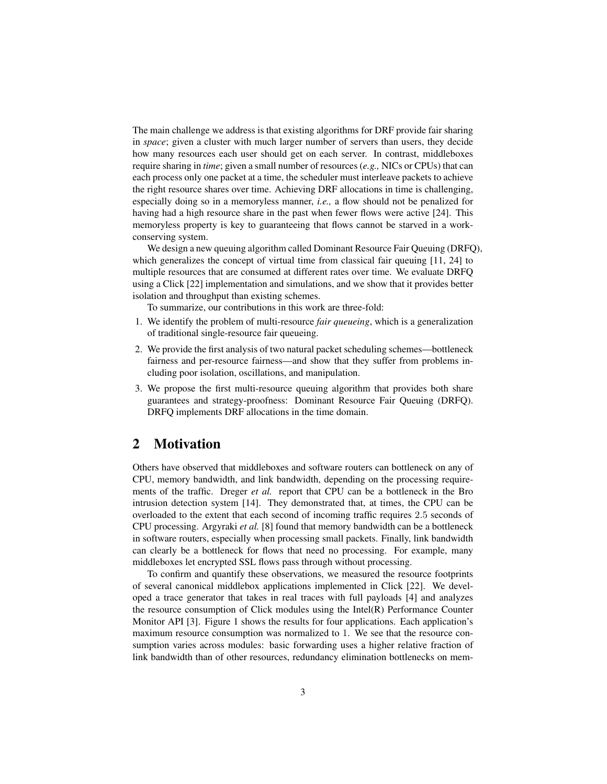The main challenge we address is that existing algorithms for DRF provide fair sharing in *space*; given a cluster with much larger number of servers than users, they decide how many resources each user should get on each server. In contrast, middleboxes require sharing in *time*; given a small number of resources (*e.g.,* NICs or CPUs) that can each process only one packet at a time, the scheduler must interleave packets to achieve the right resource shares over time. Achieving DRF allocations in time is challenging, especially doing so in a memoryless manner, *i.e.,* a flow should not be penalized for having had a high resource share in the past when fewer flows were active [24]. This memoryless property is key to guaranteeing that flows cannot be starved in a workconserving system.

We design a new queuing algorithm called Dominant Resource Fair Queuing (DRFQ), which generalizes the concept of virtual time from classical fair queuing [11, 24] to multiple resources that are consumed at different rates over time. We evaluate DRFQ using a Click [22] implementation and simulations, and we show that it provides better isolation and throughput than existing schemes.

To summarize, our contributions in this work are three-fold:

- 1. We identify the problem of multi-resource *fair queueing*, which is a generalization of traditional single-resource fair queueing.
- 2. We provide the first analysis of two natural packet scheduling schemes—bottleneck fairness and per-resource fairness—and show that they suffer from problems including poor isolation, oscillations, and manipulation.
- 3. We propose the first multi-resource queuing algorithm that provides both share guarantees and strategy-proofness: Dominant Resource Fair Queuing (DRFQ). DRFQ implements DRF allocations in the time domain.

# 2 Motivation

Others have observed that middleboxes and software routers can bottleneck on any of CPU, memory bandwidth, and link bandwidth, depending on the processing requirements of the traffic. Dreger *et al.* report that CPU can be a bottleneck in the Bro intrusion detection system [14]. They demonstrated that, at times, the CPU can be overloaded to the extent that each second of incoming traffic requires 2.5 seconds of CPU processing. Argyraki *et al.* [8] found that memory bandwidth can be a bottleneck in software routers, especially when processing small packets. Finally, link bandwidth can clearly be a bottleneck for flows that need no processing. For example, many middleboxes let encrypted SSL flows pass through without processing.

To confirm and quantify these observations, we measured the resource footprints of several canonical middlebox applications implemented in Click [22]. We developed a trace generator that takes in real traces with full payloads [4] and analyzes the resource consumption of Click modules using the Intel(R) Performance Counter Monitor API [3]. Figure 1 shows the results for four applications. Each application's maximum resource consumption was normalized to 1. We see that the resource consumption varies across modules: basic forwarding uses a higher relative fraction of link bandwidth than of other resources, redundancy elimination bottlenecks on mem-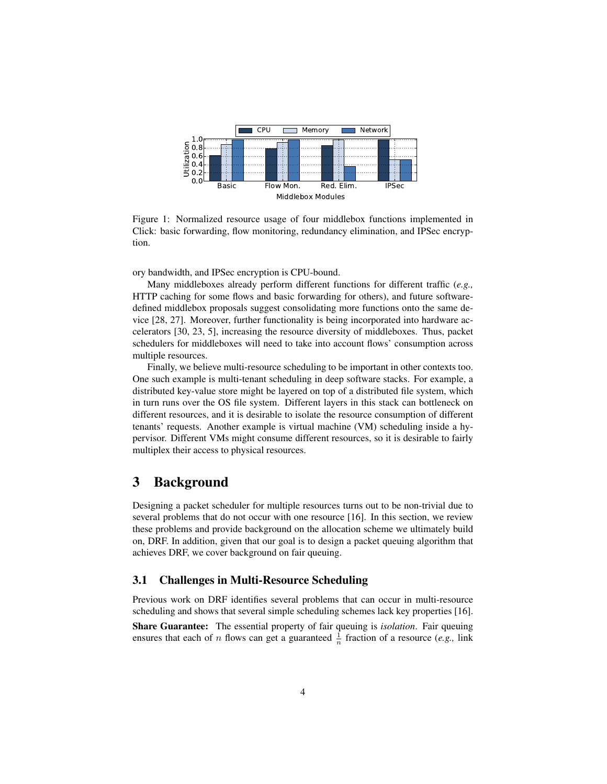

Figure 1: Normalized resource usage of four middlebox functions implemented in Click: basic forwarding, flow monitoring, redundancy elimination, and IPSec encryption.

ory bandwidth, and IPSec encryption is CPU-bound.

Many middleboxes already perform different functions for different traffic (*e.g.,* HTTP caching for some flows and basic forwarding for others), and future softwaredefined middlebox proposals suggest consolidating more functions onto the same device [28, 27]. Moreover, further functionality is being incorporated into hardware accelerators [30, 23, 5], increasing the resource diversity of middleboxes. Thus, packet schedulers for middleboxes will need to take into account flows' consumption across multiple resources.

Finally, we believe multi-resource scheduling to be important in other contexts too. One such example is multi-tenant scheduling in deep software stacks. For example, a distributed key-value store might be layered on top of a distributed file system, which in turn runs over the OS file system. Different layers in this stack can bottleneck on different resources, and it is desirable to isolate the resource consumption of different tenants' requests. Another example is virtual machine (VM) scheduling inside a hypervisor. Different VMs might consume different resources, so it is desirable to fairly multiplex their access to physical resources.

# 3 Background

Designing a packet scheduler for multiple resources turns out to be non-trivial due to several problems that do not occur with one resource [16]. In this section, we review these problems and provide background on the allocation scheme we ultimately build on, DRF. In addition, given that our goal is to design a packet queuing algorithm that achieves DRF, we cover background on fair queuing.

## 3.1 Challenges in Multi-Resource Scheduling

Previous work on DRF identifies several problems that can occur in multi-resource scheduling and shows that several simple scheduling schemes lack key properties [16]. Share Guarantee: The essential property of fair queuing is *isolation*. Fair queuing ensures that each of *n* flows can get a guaranteed  $\frac{1}{n}$  fraction of a resource (*e.g.*, link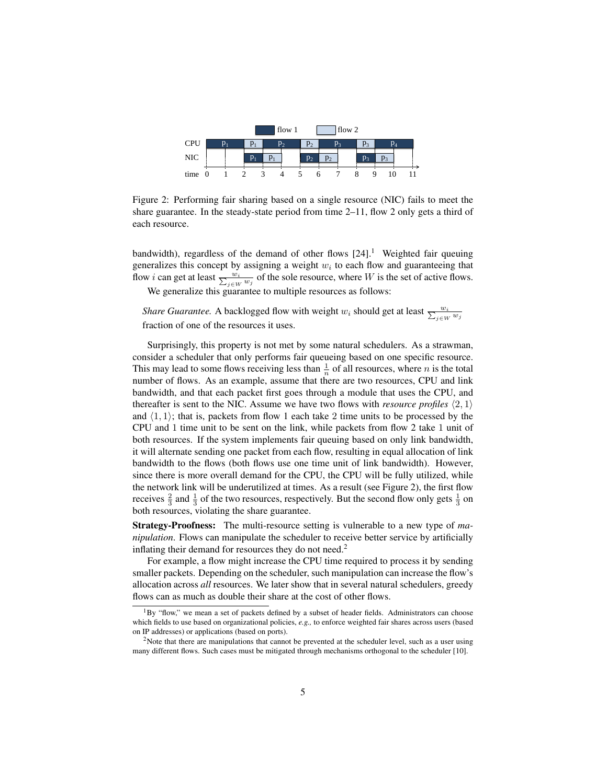

Figure 2: Performing fair sharing based on a single resource (NIC) fails to meet the share guarantee. In the steady-state period from time 2–11, flow 2 only gets a third of each resource.

bandwidth), regardless of the demand of other flows  $[24]$ .<sup>1</sup> Weighted fair queuing generalizes this concept by assigning a weight  $w_i$  to each flow and guaranteeing that flow *i* can get at least  $\frac{w_i}{\sum_{j \in W} w_j}$  of the sole resource, where W is the set of active flows.

We generalize this guarantee to multiple resources as follows:

*Share Guarantee.* A backlogged flow with weight  $w_i$  should get at least  $\frac{w_i}{\sum_{j \in W} w_j}$ fraction of one of the resources it uses.

Surprisingly, this property is not met by some natural schedulers. As a strawman, consider a scheduler that only performs fair queueing based on one specific resource. This may lead to some flows receiving less than  $\frac{1}{n}$  of all resources, where *n* is the total number of flows. As an example, assume that there are two resources, CPU and link bandwidth, and that each packet first goes through a module that uses the CPU, and thereafter is sent to the NIC. Assume we have two flows with *resource profiles*  $\langle 2, 1 \rangle$ and  $\langle 1, 1 \rangle$ ; that is, packets from flow 1 each take 2 time units to be processed by the CPU and 1 time unit to be sent on the link, while packets from flow 2 take 1 unit of both resources. If the system implements fair queuing based on only link bandwidth, it will alternate sending one packet from each flow, resulting in equal allocation of link bandwidth to the flows (both flows use one time unit of link bandwidth). However, since there is more overall demand for the CPU, the CPU will be fully utilized, while the network link will be underutilized at times. As a result (see Figure 2), the first flow receives  $\frac{2}{3}$  and  $\frac{1}{3}$  of the two resources, respectively. But the second flow only gets  $\frac{1}{3}$  on both resources, violating the share guarantee.

Strategy-Proofness: The multi-resource setting is vulnerable to a new type of *manipulation*. Flows can manipulate the scheduler to receive better service by artificially inflating their demand for resources they do not need.<sup>2</sup>

For example, a flow might increase the CPU time required to process it by sending smaller packets. Depending on the scheduler, such manipulation can increase the flow's allocation across *all* resources. We later show that in several natural schedulers, greedy flows can as much as double their share at the cost of other flows.

 ${}^{1}$ By "flow," we mean a set of packets defined by a subset of header fields. Administrators can choose which fields to use based on organizational policies, *e.g.,* to enforce weighted fair shares across users (based on IP addresses) or applications (based on ports).

<sup>&</sup>lt;sup>2</sup>Note that there are manipulations that cannot be prevented at the scheduler level, such as a user using many different flows. Such cases must be mitigated through mechanisms orthogonal to the scheduler [10].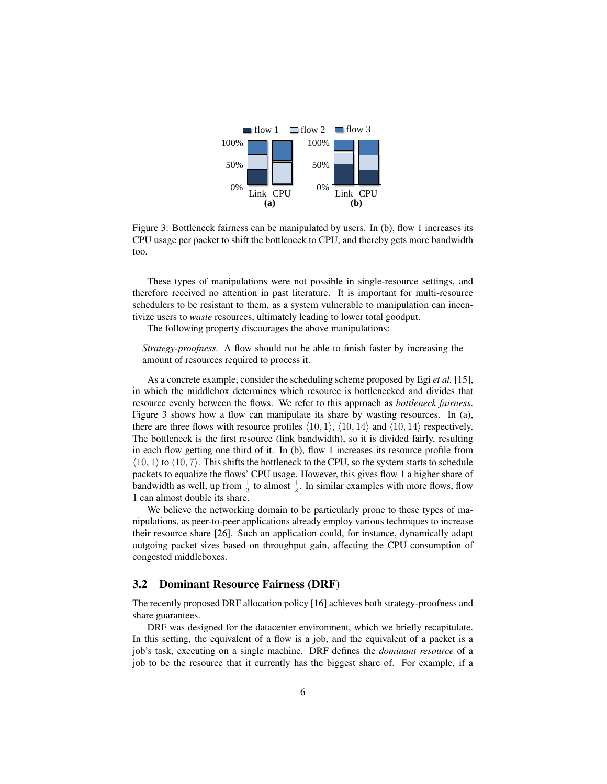

Figure 3: Bottleneck fairness can be manipulated by users. In (b), flow 1 increases its CPU usage per packet to shift the bottleneck to CPU, and thereby gets more bandwidth too.

These types of manipulations were not possible in single-resource settings, and therefore received no attention in past literature. It is important for multi-resource schedulers to be resistant to them, as a system vulnerable to manipulation can incentivize users to *waste* resources, ultimately leading to lower total goodput.

The following property discourages the above manipulations:

*Strategy-proofness.* A flow should not be able to finish faster by increasing the amount of resources required to process it.

As a concrete example, consider the scheduling scheme proposed by Egi *et al.* [15], in which the middlebox determines which resource is bottlenecked and divides that resource evenly between the flows. We refer to this approach as *bottleneck fairness*. Figure 3 shows how a flow can manipulate its share by wasting resources. In (a), there are three flows with resource profiles  $\langle 10, 1 \rangle$ ,  $\langle 10, 14 \rangle$  and  $\langle 10, 14 \rangle$  respectively. The bottleneck is the first resource (link bandwidth), so it is divided fairly, resulting in each flow getting one third of it. In (b), flow 1 increases its resource profile from  $\langle 10, 1 \rangle$  to  $\langle 10, 7 \rangle$ . This shifts the bottleneck to the CPU, so the system starts to schedule packets to equalize the flows' CPU usage. However, this gives flow 1 a higher share of bandwidth as well, up from  $\frac{1}{3}$  to almost  $\frac{1}{2}$ . In similar examples with more flows, flow 1 can almost double its share.

We believe the networking domain to be particularly prone to these types of manipulations, as peer-to-peer applications already employ various techniques to increase their resource share [26]. Such an application could, for instance, dynamically adapt outgoing packet sizes based on throughput gain, affecting the CPU consumption of congested middleboxes.

## 3.2 Dominant Resource Fairness (DRF)

The recently proposed DRF allocation policy [16] achieves both strategy-proofness and share guarantees.

DRF was designed for the datacenter environment, which we briefly recapitulate. In this setting, the equivalent of a flow is a job, and the equivalent of a packet is a job's task, executing on a single machine. DRF defines the *dominant resource* of a job to be the resource that it currently has the biggest share of. For example, if a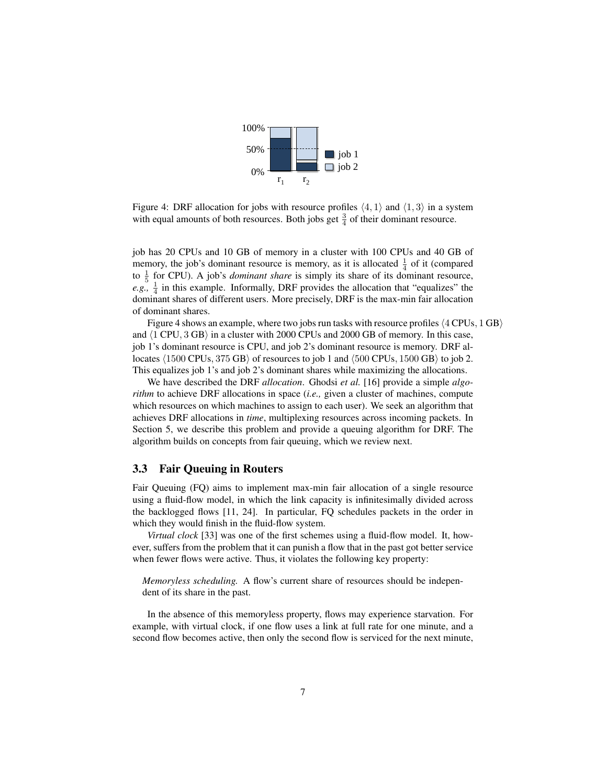

Figure 4: DRF allocation for jobs with resource profiles  $\langle 4, 1 \rangle$  and  $\langle 1, 3 \rangle$  in a system with equal amounts of both resources. Both jobs get  $\frac{3}{4}$  of their dominant resource.

job has 20 CPUs and 10 GB of memory in a cluster with 100 CPUs and 40 GB of memory, the job's dominant resource is memory, as it is allocated  $\frac{1}{4}$  of it (compared to  $\frac{1}{5}$  for CPU). A job's *dominant share* is simply its share of its dominant resource, *e.g.*,  $\frac{1}{4}$  in this example. Informally, DRF provides the allocation that "equalizes" the dominant shares of different users. More precisely, DRF is the max-min fair allocation of dominant shares.

Figure 4 shows an example, where two jobs run tasks with resource profiles  $\langle$  4 CPUs, 1 GB $\rangle$ and  $\langle 1 \text{ CPU}, 3 \text{ GB} \rangle$  in a cluster with 2000 CPUs and 2000 GB of memory. In this case, job 1's dominant resource is CPU, and job 2's dominant resource is memory. DRF allocates  $\langle 1500 \text{ CPUs}, 375 \text{ GB} \rangle$  of resources to job 1 and  $\langle 500 \text{ CPUs}, 1500 \text{ GB} \rangle$  to job 2. This equalizes job 1's and job 2's dominant shares while maximizing the allocations.

We have described the DRF *allocation*. Ghodsi *et al.* [16] provide a simple *algorithm* to achieve DRF allocations in space (*i.e.,* given a cluster of machines, compute which resources on which machines to assign to each user). We seek an algorithm that achieves DRF allocations in *time*, multiplexing resources across incoming packets. In Section 5, we describe this problem and provide a queuing algorithm for DRF. The algorithm builds on concepts from fair queuing, which we review next.

## 3.3 Fair Queuing in Routers

Fair Queuing (FQ) aims to implement max-min fair allocation of a single resource using a fluid-flow model, in which the link capacity is infinitesimally divided across the backlogged flows [11, 24]. In particular, FQ schedules packets in the order in which they would finish in the fluid-flow system.

*Virtual clock* [33] was one of the first schemes using a fluid-flow model. It, however, suffers from the problem that it can punish a flow that in the past got better service when fewer flows were active. Thus, it violates the following key property:

*Memoryless scheduling.* A flow's current share of resources should be independent of its share in the past.

In the absence of this memoryless property, flows may experience starvation. For example, with virtual clock, if one flow uses a link at full rate for one minute, and a second flow becomes active, then only the second flow is serviced for the next minute,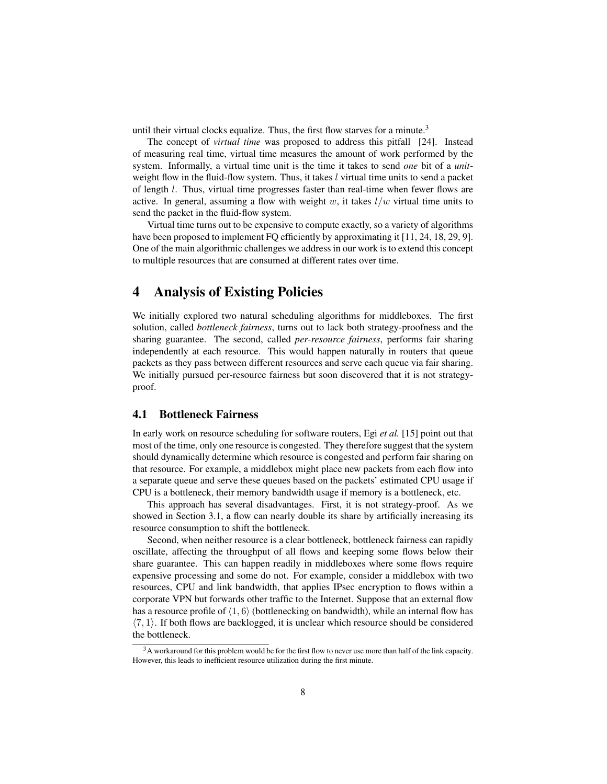until their virtual clocks equalize. Thus, the first flow starves for a minute.<sup>3</sup>

The concept of *virtual time* was proposed to address this pitfall [24]. Instead of measuring real time, virtual time measures the amount of work performed by the system. Informally, a virtual time unit is the time it takes to send *one* bit of a *unit*weight flow in the fluid-flow system. Thus, it takes  $l$  virtual time units to send a packet of length l. Thus, virtual time progresses faster than real-time when fewer flows are active. In general, assuming a flow with weight w, it takes  $l/w$  virtual time units to send the packet in the fluid-flow system.

Virtual time turns out to be expensive to compute exactly, so a variety of algorithms have been proposed to implement FQ efficiently by approximating it [11, 24, 18, 29, 9]. One of the main algorithmic challenges we address in our work is to extend this concept to multiple resources that are consumed at different rates over time.

# 4 Analysis of Existing Policies

We initially explored two natural scheduling algorithms for middleboxes. The first solution, called *bottleneck fairness*, turns out to lack both strategy-proofness and the sharing guarantee. The second, called *per-resource fairness*, performs fair sharing independently at each resource. This would happen naturally in routers that queue packets as they pass between different resources and serve each queue via fair sharing. We initially pursued per-resource fairness but soon discovered that it is not strategyproof.

## 4.1 Bottleneck Fairness

In early work on resource scheduling for software routers, Egi *et al.* [15] point out that most of the time, only one resource is congested. They therefore suggest that the system should dynamically determine which resource is congested and perform fair sharing on that resource. For example, a middlebox might place new packets from each flow into a separate queue and serve these queues based on the packets' estimated CPU usage if CPU is a bottleneck, their memory bandwidth usage if memory is a bottleneck, etc.

This approach has several disadvantages. First, it is not strategy-proof. As we showed in Section 3.1, a flow can nearly double its share by artificially increasing its resource consumption to shift the bottleneck.

Second, when neither resource is a clear bottleneck, bottleneck fairness can rapidly oscillate, affecting the throughput of all flows and keeping some flows below their share guarantee. This can happen readily in middleboxes where some flows require expensive processing and some do not. For example, consider a middlebox with two resources, CPU and link bandwidth, that applies IPsec encryption to flows within a corporate VPN but forwards other traffic to the Internet. Suppose that an external flow has a resource profile of  $(1, 6)$  (bottlenecking on bandwidth), while an internal flow has  $\langle 7, 1 \rangle$ . If both flows are backlogged, it is unclear which resource should be considered the bottleneck.

<sup>&</sup>lt;sup>3</sup>A workaround for this problem would be for the first flow to never use more than half of the link capacity. However, this leads to inefficient resource utilization during the first minute.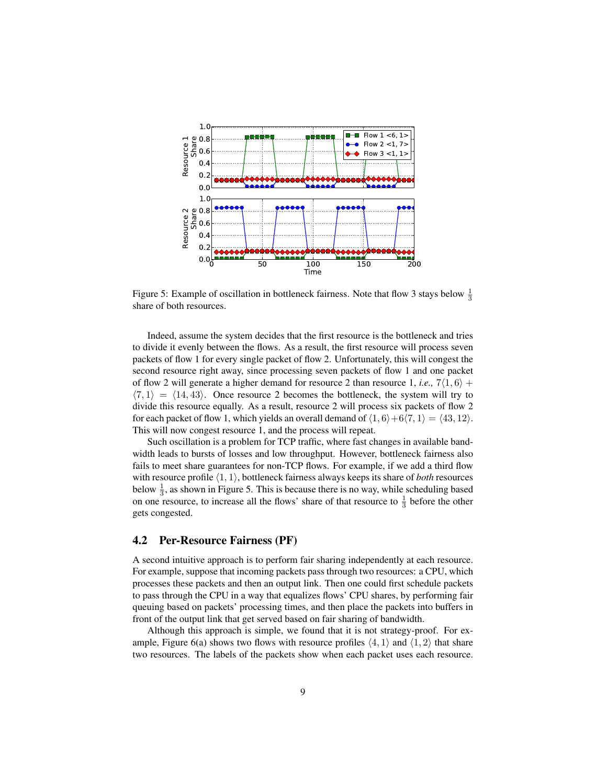

Figure 5: Example of oscillation in bottleneck fairness. Note that flow 3 stays below  $\frac{1}{3}$ share of both resources.

Indeed, assume the system decides that the first resource is the bottleneck and tries to divide it evenly between the flows. As a result, the first resource will process seven packets of flow 1 for every single packet of flow 2. Unfortunately, this will congest the second resource right away, since processing seven packets of flow 1 and one packet of flow 2 will generate a higher demand for resource 2 than resource 1, *i.e.*,  $7\langle 1, 6 \rangle +$  $\langle 7, 1 \rangle = \langle 14, 43 \rangle$ . Once resource 2 becomes the bottleneck, the system will try to divide this resource equally. As a result, resource 2 will process six packets of flow 2 for each packet of flow 1, which yields an overall demand of  $\langle 1, 6 \rangle + 6\langle 7, 1 \rangle = \langle 43, 12 \rangle$ . This will now congest resource 1, and the process will repeat.

Such oscillation is a problem for TCP traffic, where fast changes in available bandwidth leads to bursts of losses and low throughput. However, bottleneck fairness also fails to meet share guarantees for non-TCP flows. For example, if we add a third flow with resource profile  $\langle 1, 1 \rangle$ , bottleneck fairness always keeps its share of *both* resources below  $\frac{1}{3}$ , as shown in Figure 5. This is because there is no way, while scheduling based on one resource, to increase all the flows' share of that resource to  $\frac{1}{3}$  before the other gets congested.

## 4.2 Per-Resource Fairness (PF)

A second intuitive approach is to perform fair sharing independently at each resource. For example, suppose that incoming packets pass through two resources: a CPU, which processes these packets and then an output link. Then one could first schedule packets to pass through the CPU in a way that equalizes flows' CPU shares, by performing fair queuing based on packets' processing times, and then place the packets into buffers in front of the output link that get served based on fair sharing of bandwidth.

Although this approach is simple, we found that it is not strategy-proof. For example, Figure 6(a) shows two flows with resource profiles  $\langle 4, 1 \rangle$  and  $\langle 1, 2 \rangle$  that share two resources. The labels of the packets show when each packet uses each resource.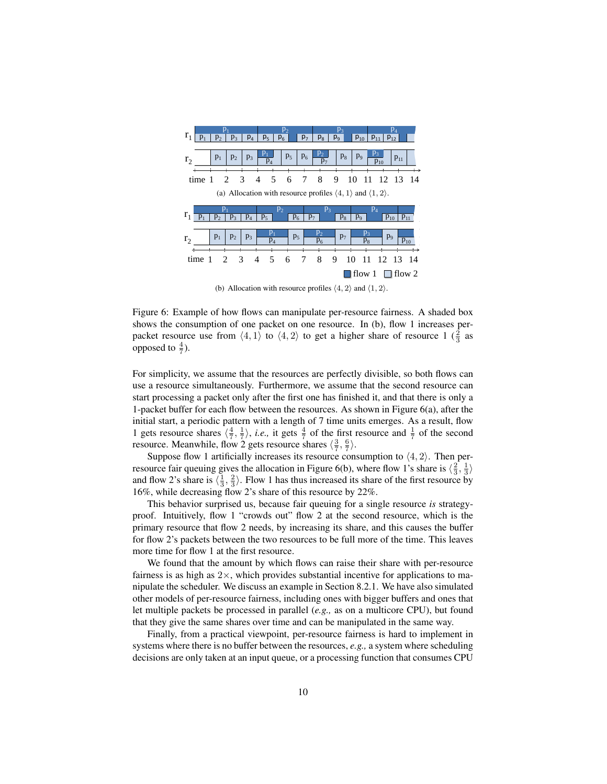

(b) Allocation with resource profiles  $\langle 4, 2 \rangle$  and  $\langle 1, 2 \rangle$ .

Figure 6: Example of how flows can manipulate per-resource fairness. A shaded box shows the consumption of one packet on one resource. In (b), flow 1 increases perpacket resource use from  $\langle 4, 1 \rangle$  to  $\langle 4, 2 \rangle$  to get a higher share of resource 1  $(\frac{2}{3})$  as opposed to  $\frac{4}{7}$ ).

For simplicity, we assume that the resources are perfectly divisible, so both flows can use a resource simultaneously. Furthermore, we assume that the second resource can start processing a packet only after the first one has finished it, and that there is only a 1-packet buffer for each flow between the resources. As shown in Figure 6(a), after the initial start, a periodic pattern with a length of 7 time units emerges. As a result, flow 1 gets resource shares  $\langle \frac{4}{7}, \frac{1}{7} \rangle$ , *i.e.*, it gets  $\frac{4}{7}$  of the first resource and  $\frac{1}{7}$  of the second resource. Meanwhile, flow 2 gets resource shares  $\langle \frac{3}{7}, \frac{6}{7} \rangle$ .

Suppose flow 1 artificially increases its resource consumption to  $\langle 4, 2 \rangle$ . Then perresource fair queuing gives the allocation in Figure 6(b), where flow 1's share is  $\langle \frac{2}{3}, \frac{1}{3} \rangle$ and flow 2's share is  $\langle \frac{1}{3}, \frac{2}{3} \rangle$ . Flow 1 has thus increased its share of the first resource by 16%, while decreasing flow 2's share of this resource by 22%.

This behavior surprised us, because fair queuing for a single resource *is* strategyproof. Intuitively, flow 1 "crowds out" flow 2 at the second resource, which is the primary resource that flow 2 needs, by increasing its share, and this causes the buffer for flow 2's packets between the two resources to be full more of the time. This leaves more time for flow 1 at the first resource.

We found that the amount by which flows can raise their share with per-resource fairness is as high as  $2\times$ , which provides substantial incentive for applications to manipulate the scheduler. We discuss an example in Section 8.2.1. We have also simulated other models of per-resource fairness, including ones with bigger buffers and ones that let multiple packets be processed in parallel (*e.g.,* as on a multicore CPU), but found that they give the same shares over time and can be manipulated in the same way.

Finally, from a practical viewpoint, per-resource fairness is hard to implement in systems where there is no buffer between the resources, *e.g.,* a system where scheduling decisions are only taken at an input queue, or a processing function that consumes CPU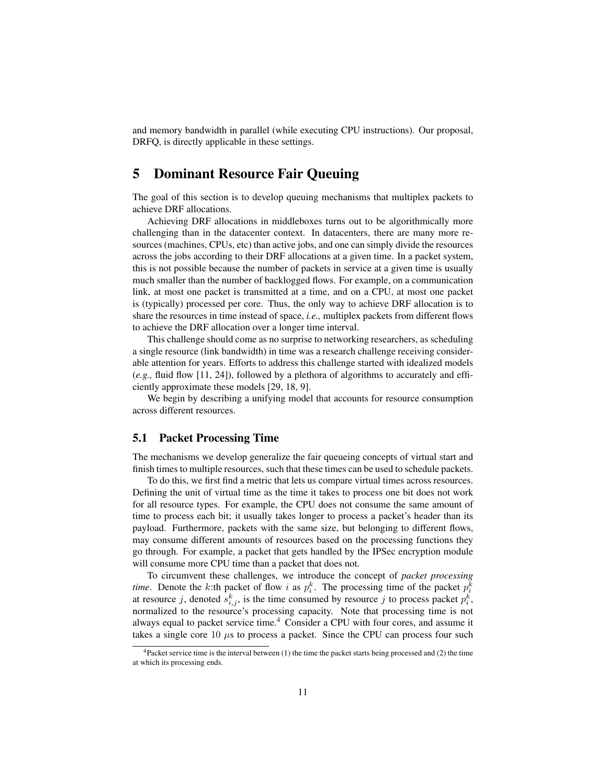and memory bandwidth in parallel (while executing CPU instructions). Our proposal, DRFQ, is directly applicable in these settings.

# 5 Dominant Resource Fair Queuing

The goal of this section is to develop queuing mechanisms that multiplex packets to achieve DRF allocations.

Achieving DRF allocations in middleboxes turns out to be algorithmically more challenging than in the datacenter context. In datacenters, there are many more resources (machines, CPUs, etc) than active jobs, and one can simply divide the resources across the jobs according to their DRF allocations at a given time. In a packet system, this is not possible because the number of packets in service at a given time is usually much smaller than the number of backlogged flows. For example, on a communication link, at most one packet is transmitted at a time, and on a CPU, at most one packet is (typically) processed per core. Thus, the only way to achieve DRF allocation is to share the resources in time instead of space, *i.e.,* multiplex packets from different flows to achieve the DRF allocation over a longer time interval.

This challenge should come as no surprise to networking researchers, as scheduling a single resource (link bandwidth) in time was a research challenge receiving considerable attention for years. Efforts to address this challenge started with idealized models (*e.g.,* fluid flow [11, 24]), followed by a plethora of algorithms to accurately and efficiently approximate these models [29, 18, 9].

We begin by describing a unifying model that accounts for resource consumption across different resources.

## 5.1 Packet Processing Time

The mechanisms we develop generalize the fair queueing concepts of virtual start and finish times to multiple resources, such that these times can be used to schedule packets.

To do this, we first find a metric that lets us compare virtual times across resources. Defining the unit of virtual time as the time it takes to process one bit does not work for all resource types. For example, the CPU does not consume the same amount of time to process each bit; it usually takes longer to process a packet's header than its payload. Furthermore, packets with the same size, but belonging to different flows, may consume different amounts of resources based on the processing functions they go through. For example, a packet that gets handled by the IPSec encryption module will consume more CPU time than a packet that does not.

To circumvent these challenges, we introduce the concept of *packet processing time*. Denote the *k*:th packet of flow *i* as  $p_i^k$ . The processing time of the packet  $p_i^k$ at resource j, denoted  $s_{i,j}^k$ , is the time consumed by resource j to process packet  $p_i^k$ , normalized to the resource's processing capacity. Note that processing time is not always equal to packet service time.<sup>4</sup> Consider a CPU with four cores, and assume it takes a single core 10  $\mu$ s to process a packet. Since the CPU can process four such

<sup>4</sup>Packet service time is the interval between (1) the time the packet starts being processed and (2) the time at which its processing ends.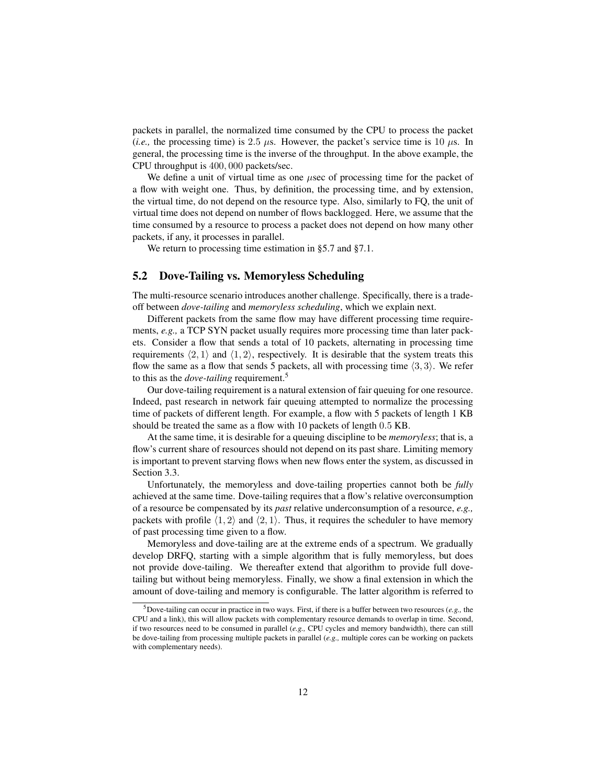packets in parallel, the normalized time consumed by the CPU to process the packet (*i.e.*, the processing time) is 2.5  $\mu$ s. However, the packet's service time is 10  $\mu$ s. In general, the processing time is the inverse of the throughput. In the above example, the CPU throughput is 400, 000 packets/sec.

We define a unit of virtual time as one  $\mu$ sec of processing time for the packet of a flow with weight one. Thus, by definition, the processing time, and by extension, the virtual time, do not depend on the resource type. Also, similarly to FQ, the unit of virtual time does not depend on number of flows backlogged. Here, we assume that the time consumed by a resource to process a packet does not depend on how many other packets, if any, it processes in parallel.

We return to processing time estimation in §5.7 and §7.1.

## 5.2 Dove-Tailing vs. Memoryless Scheduling

The multi-resource scenario introduces another challenge. Specifically, there is a tradeoff between *dove-tailing* and *memoryless scheduling*, which we explain next.

Different packets from the same flow may have different processing time requirements, *e.g.,* a TCP SYN packet usually requires more processing time than later packets. Consider a flow that sends a total of 10 packets, alternating in processing time requirements  $\langle 2, 1 \rangle$  and  $\langle 1, 2 \rangle$ , respectively. It is desirable that the system treats this flow the same as a flow that sends 5 packets, all with processing time  $\langle 3, 3 \rangle$ . We refer to this as the *dove-tailing* requirement.<sup>5</sup>

Our dove-tailing requirement is a natural extension of fair queuing for one resource. Indeed, past research in network fair queuing attempted to normalize the processing time of packets of different length. For example, a flow with 5 packets of length 1 KB should be treated the same as a flow with 10 packets of length 0.5 KB.

At the same time, it is desirable for a queuing discipline to be *memoryless*; that is, a flow's current share of resources should not depend on its past share. Limiting memory is important to prevent starving flows when new flows enter the system, as discussed in Section 3.3.

Unfortunately, the memoryless and dove-tailing properties cannot both be *fully* achieved at the same time. Dove-tailing requires that a flow's relative overconsumption of a resource be compensated by its *past* relative underconsumption of a resource, *e.g.,* packets with profile  $\langle 1, 2 \rangle$  and  $\langle 2, 1 \rangle$ . Thus, it requires the scheduler to have memory of past processing time given to a flow.

Memoryless and dove-tailing are at the extreme ends of a spectrum. We gradually develop DRFQ, starting with a simple algorithm that is fully memoryless, but does not provide dove-tailing. We thereafter extend that algorithm to provide full dovetailing but without being memoryless. Finally, we show a final extension in which the amount of dove-tailing and memory is configurable. The latter algorithm is referred to

<sup>5</sup>Dove-tailing can occur in practice in two ways. First, if there is a buffer between two resources (*e.g.,* the CPU and a link), this will allow packets with complementary resource demands to overlap in time. Second, if two resources need to be consumed in parallel (*e.g.,* CPU cycles and memory bandwidth), there can still be dove-tailing from processing multiple packets in parallel (*e.g.,* multiple cores can be working on packets with complementary needs).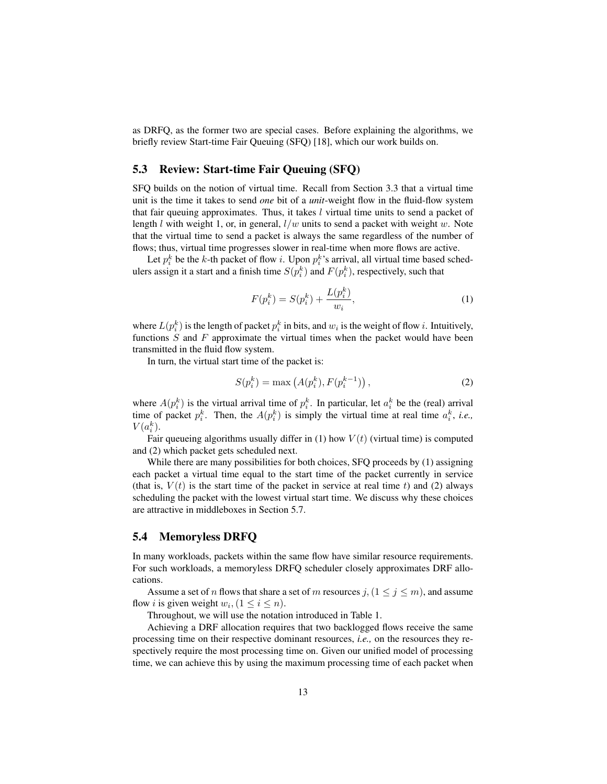as DRFQ, as the former two are special cases. Before explaining the algorithms, we briefly review Start-time Fair Queuing (SFQ) [18], which our work builds on.

## 5.3 Review: Start-time Fair Queuing (SFQ)

SFQ builds on the notion of virtual time. Recall from Section 3.3 that a virtual time unit is the time it takes to send *one* bit of a *unit*-weight flow in the fluid-flow system that fair queuing approximates. Thus, it takes  $l$  virtual time units to send a packet of length l with weight 1, or, in general,  $l/w$  units to send a packet with weight w. Note that the virtual time to send a packet is always the same regardless of the number of flows; thus, virtual time progresses slower in real-time when more flows are active.

Let  $p_i^k$  be the k-th packet of flow i. Upon  $p_i^k$ 's arrival, all virtual time based schedulers assign it a start and a finish time  $S(p_i^k)$  and  $F(p_i^k)$ , respectively, such that

$$
F(p_i^k) = S(p_i^k) + \frac{L(p_i^k)}{w_i},
$$
\n(1)

where  $L(p_i^k)$  is the length of packet  $p_i^k$  in bits, and  $w_i$  is the weight of flow i. Intuitively, functions  $S$  and  $F$  approximate the virtual times when the packet would have been transmitted in the fluid flow system.

In turn, the virtual start time of the packet is:

$$
S(p_i^k) = \max (A(p_i^k), F(p_i^{k-1})),
$$
\n(2)

where  $A(p_i^k)$  is the virtual arrival time of  $p_i^k$ . In particular, let  $a_i^k$  be the (real) arrival time of packet  $p_i^k$ . Then, the  $A(p_i^k)$  is simply the virtual time at real time  $a_i^k$ , *i.e.*,  $V(a_i^k)$ .

Fair queueing algorithms usually differ in (1) how  $V(t)$  (virtual time) is computed and (2) which packet gets scheduled next.

While there are many possibilities for both choices, SFQ proceeds by (1) assigning each packet a virtual time equal to the start time of the packet currently in service (that is,  $V(t)$  is the start time of the packet in service at real time t) and (2) always scheduling the packet with the lowest virtual start time. We discuss why these choices are attractive in middleboxes in Section 5.7.

## 5.4 Memoryless DRFQ

In many workloads, packets within the same flow have similar resource requirements. For such workloads, a memoryless DRFQ scheduler closely approximates DRF allocations.

Assume a set of *n* flows that share a set of *m* resources  $j,(1 \le j \le m)$ , and assume flow *i* is given weight  $w_i$ ,  $(1 \le i \le n)$ .

Throughout, we will use the notation introduced in Table 1.

Achieving a DRF allocation requires that two backlogged flows receive the same processing time on their respective dominant resources, *i.e.,* on the resources they respectively require the most processing time on. Given our unified model of processing time, we can achieve this by using the maximum processing time of each packet when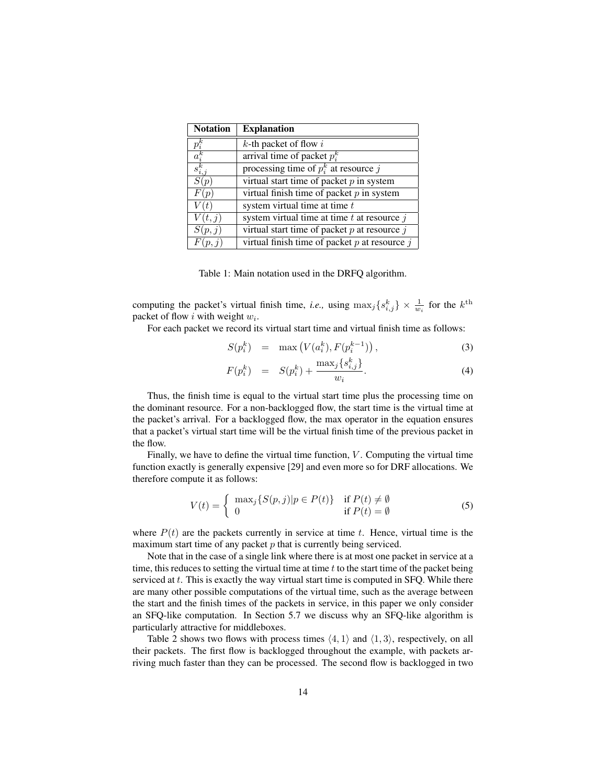| <b>Notation</b>    | <b>Explanation</b>                                |
|--------------------|---------------------------------------------------|
| $p_i^k$            | $k$ -th packet of flow $i$                        |
| $\overline{a}_i^k$ | arrival time of packet $p_i^k$                    |
| $s_{i,j}^k$        | processing time of $p_i^k$ at resource j          |
| S(p)               | virtual start time of packet $p$ in system        |
| F(p)               | virtual finish time of packet $p$ in system       |
| V(t)               | system virtual time at time $t$                   |
| V(t, j)            | system virtual time at time $t$ at resource $j$   |
| S(p, j)            | virtual start time of packet $p$ at resource $j$  |
| F(p, j)            | virtual finish time of packet $p$ at resource $j$ |

Table 1: Main notation used in the DRFQ algorithm.

computing the packet's virtual finish time, *i.e.*, using  $\max_j \{ s_{i,j}^k \} \times \frac{1}{w_i}$  for the  $k^{\text{th}}$ packet of flow i with weight  $w_i$ .

For each packet we record its virtual start time and virtual finish time as follows:

$$
S(p_i^k) = \max(V(a_i^k), F(p_i^{k-1})), \qquad (3)
$$

$$
F(p_i^k) = S(p_i^k) + \frac{\max_j \{s_{i,j}^k\}}{w_i}.
$$
 (4)

Thus, the finish time is equal to the virtual start time plus the processing time on the dominant resource. For a non-backlogged flow, the start time is the virtual time at the packet's arrival. For a backlogged flow, the max operator in the equation ensures that a packet's virtual start time will be the virtual finish time of the previous packet in the flow.

Finally, we have to define the virtual time function,  $V$ . Computing the virtual time function exactly is generally expensive [29] and even more so for DRF allocations. We therefore compute it as follows:

$$
V(t) = \begin{cases} \max_j \{ S(p,j) | p \in P(t) \} & \text{if } P(t) \neq \emptyset \\ 0 & \text{if } P(t) = \emptyset \end{cases}
$$
 (5)

where  $P(t)$  are the packets currently in service at time t. Hence, virtual time is the maximum start time of any packet  $p$  that is currently being serviced.

Note that in the case of a single link where there is at most one packet in service at a time, this reduces to setting the virtual time at time  $t$  to the start time of the packet being serviced at  $t$ . This is exactly the way virtual start time is computed in SFO. While there are many other possible computations of the virtual time, such as the average between the start and the finish times of the packets in service, in this paper we only consider an SFQ-like computation. In Section 5.7 we discuss why an SFQ-like algorithm is particularly attractive for middleboxes.

Table 2 shows two flows with process times  $\langle 4, 1 \rangle$  and  $\langle 1, 3 \rangle$ , respectively, on all their packets. The first flow is backlogged throughout the example, with packets arriving much faster than they can be processed. The second flow is backlogged in two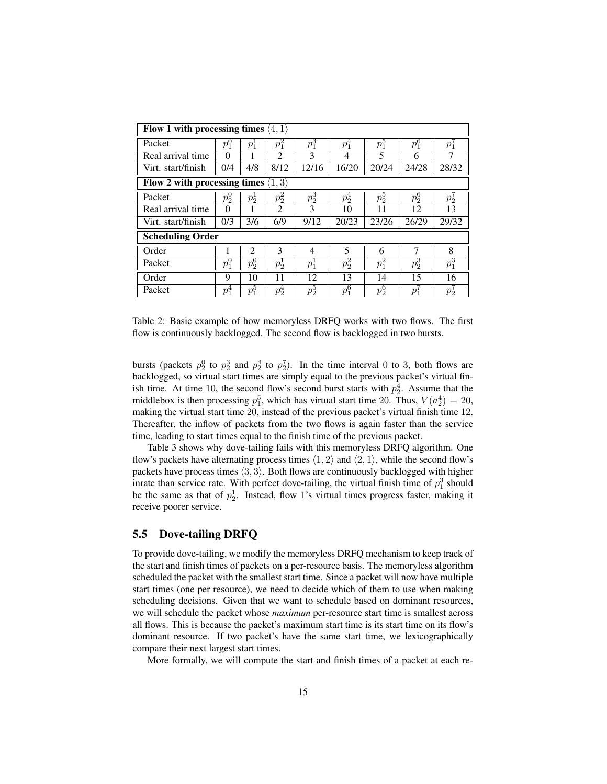| Flow 1 with processing times $\langle 4, 1 \rangle$ |                    |                |                |               |         |             |                    |         |
|-----------------------------------------------------|--------------------|----------------|----------------|---------------|---------|-------------|--------------------|---------|
| Packet                                              | $\overline{p}_1^0$ | $p_1^*$        | $p_1^2$        | $p_1^3$       | $p_1^4$ | $p_1^5$     | $\overline{p}_1^6$ | $p_1$   |
| Real arrival time                                   | $\Omega$           |                | $\mathfrak{D}$ | 3             | 4       | 5           | 6                  |         |
| Virt. start/finish                                  | 0/4                | 4/8            | 8/12           | 12/16         | 16/20   | 20/24       | 24/28              | 28/32   |
| Flow 2 with processing times $\langle 1,3 \rangle$  |                    |                |                |               |         |             |                    |         |
| Packet                                              | $p_2^0$            | $p_2^*$        | $p_2^2$        | $p_2^3$       | $p_2^4$ | $p_{2}^{5}$ | $p_2^6$            | $p_2'$  |
| Real arrival time                                   | $\Omega$           |                | $\mathfrak{D}$ | 3             | 10      | 11          | 12                 | 13      |
| Virt. start/finish                                  | 0/3                | 3/6            | 6/9            | 9/12          | 20/23   | 23/26       | 26/29              | 29/32   |
| <b>Scheduling Order</b>                             |                    |                |                |               |         |             |                    |         |
| Order                                               |                    | $\mathfrak{D}$ | 3              | 4             | 5       | 6           | 7                  | 8       |
| Packet                                              | $p_1^0$            | $p_2^0$        | $p_2^1$        | $p_1^{\rm t}$ | $p_2^2$ | $p_1^2$     | $p_2^3$            | $p_1^3$ |
| Order                                               | 9                  | 10             | 11             | 12            | 13      | 14          | 15                 | 16      |
| Packet                                              | $p_1^4$            | $p_1^5$        | $p_2^4$        | $p_2^5$       | $p_1^6$ | $p_2^6$     | $p_1$              | $p_2$   |

Table 2: Basic example of how memoryless DRFQ works with two flows. The first flow is continuously backlogged. The second flow is backlogged in two bursts.

bursts (packets  $p_2^0$  to  $p_2^3$  and  $p_2^4$  to  $p_2^7$ ). In the time interval 0 to 3, both flows are backlogged, so virtual start times are simply equal to the previous packet's virtual finish time. At time 10, the second flow's second burst starts with  $p_2^4$ . Assume that the middlebox is then processing  $p_1^5$ , which has virtual start time 20. Thus,  $V(a_2^4) = 20$ , making the virtual start time 20, instead of the previous packet's virtual finish time 12. Thereafter, the inflow of packets from the two flows is again faster than the service time, leading to start times equal to the finish time of the previous packet.

Table 3 shows why dove-tailing fails with this memoryless DRFQ algorithm. One flow's packets have alternating process times  $\langle 1, 2 \rangle$  and  $\langle 2, 1 \rangle$ , while the second flow's packets have process times  $\langle 3, 3 \rangle$ . Both flows are continuously backlogged with higher inrate than service rate. With perfect dove-tailing, the virtual finish time of  $p_1^3$  should be the same as that of  $p_2^1$ . Instead, flow 1's virtual times progress faster, making it receive poorer service.

## 5.5 Dove-tailing DRFQ

To provide dove-tailing, we modify the memoryless DRFQ mechanism to keep track of the start and finish times of packets on a per-resource basis. The memoryless algorithm scheduled the packet with the smallest start time. Since a packet will now have multiple start times (one per resource), we need to decide which of them to use when making scheduling decisions. Given that we want to schedule based on dominant resources, we will schedule the packet whose *maximum* per-resource start time is smallest across all flows. This is because the packet's maximum start time is its start time on its flow's dominant resource. If two packet's have the same start time, we lexicographically compare their next largest start times.

More formally, we will compute the start and finish times of a packet at each re-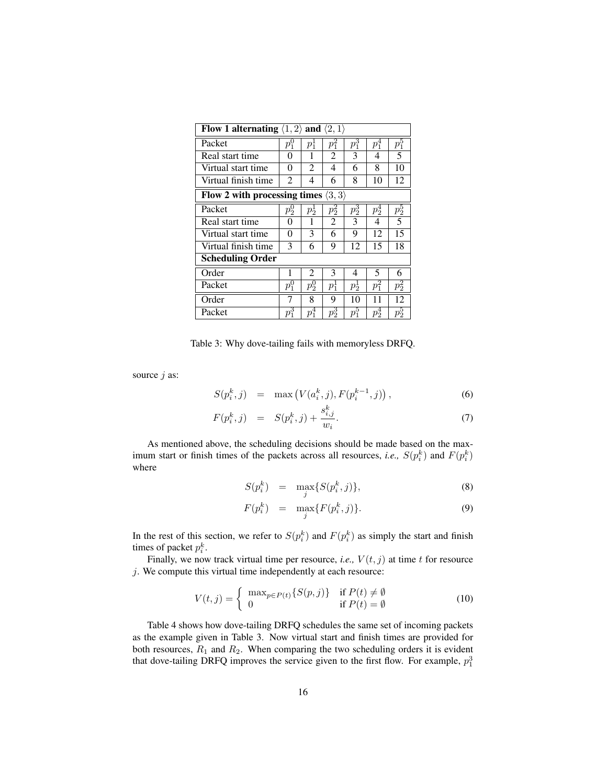| <b>Flow 1 alternating</b> $\langle 1, 2 \rangle$ and $\langle 2, 1 \rangle$ |          |                |                |                    |         |                       |  |
|-----------------------------------------------------------------------------|----------|----------------|----------------|--------------------|---------|-----------------------|--|
| Packet                                                                      | $p_1^0$  | $p_1$          | $p_1^2$        | $p_1^3$            | $p_1^4$ | $p_1^5$               |  |
| Real start time                                                             | 0        | 1              | $\mathfrak{D}$ | 3                  | 4       | 5                     |  |
| Virtual start time                                                          | 0        | $\overline{2}$ | 4              | 6                  | 8       | 10                    |  |
| Virtual finish time                                                         | 2        | 4              | 6              | 8                  | 10      | 12                    |  |
| Flow 2 with processing times<br>$\langle 3,3 \rangle$                       |          |                |                |                    |         |                       |  |
| Packet                                                                      | $p_2^0$  | $p_2^{\star}$  | $p_2^2$        | $\overline{p_2^3}$ | $p_2^4$ | $\frac{p_{2}^{5}}{5}$ |  |
| Real start time                                                             | $^{(1)}$ | 1              | 2              | 3                  | 4       |                       |  |
| Virtual start time                                                          | 0        | 3              | 6              | 9                  | 12      | 15                    |  |
| Virtual finish time                                                         | 3        | 6              | 9              | 12                 | 15      | 18                    |  |
| <b>Scheduling Order</b>                                                     |          |                |                |                    |         |                       |  |
| Order                                                                       | 1        | $\overline{c}$ | 3              | 4                  | 5       | 6                     |  |
| Packet                                                                      | $p_1^0$  | $p_2^0$        | $p_1^1$        | $p_2^{\perp}$      | $p_1^2$ | $p_2^2$               |  |
| Order                                                                       | 7        | 8              | 9              | 10                 | 11      | 12                    |  |
| Packet                                                                      | $p_1^3$  | $p_1^4$        | $p_2^3$        | $p_1^5$            | $p_2^4$ | $p_2^5$               |  |

Table 3: Why dove-tailing fails with memoryless DRFQ.

source  $j$  as:

$$
S(p_i^k, j) = \max \left( V(a_i^k, j), F(p_i^{k-1}, j) \right), \tag{6}
$$

$$
F(p_i^k, j) = S(p_i^k, j) + \frac{s_{i,j}^k}{w_i}.
$$
\n(7)

As mentioned above, the scheduling decisions should be made based on the maximum start or finish times of the packets across all resources, *i.e.*,  $S(p_i^k)$  and  $F(p_i^k)$ where

$$
S(p_i^k) = \max_j \{ S(p_i^k, j) \}, \tag{8}
$$

$$
F(p_i^k) = \max_j \{ F(p_i^k, j) \}.
$$
\n(9)

In the rest of this section, we refer to  $S(p_i^k)$  and  $F(p_i^k)$  as simply the start and finish times of packet  $p_i^k$ .

Finally, we now track virtual time per resource, *i.e.*,  $V(t, j)$  at time t for resource  $j$ . We compute this virtual time independently at each resource:

$$
V(t,j) = \begin{cases} \max_{p \in P(t)} \{ S(p,j) \} & \text{if } P(t) \neq \emptyset \\ 0 & \text{if } P(t) = \emptyset \end{cases}
$$
 (10)

Table 4 shows how dove-tailing DRFQ schedules the same set of incoming packets as the example given in Table 3. Now virtual start and finish times are provided for both resources,  $R_1$  and  $R_2$ . When comparing the two scheduling orders it is evident that dove-tailing DRFQ improves the service given to the first flow. For example,  $p_1^3$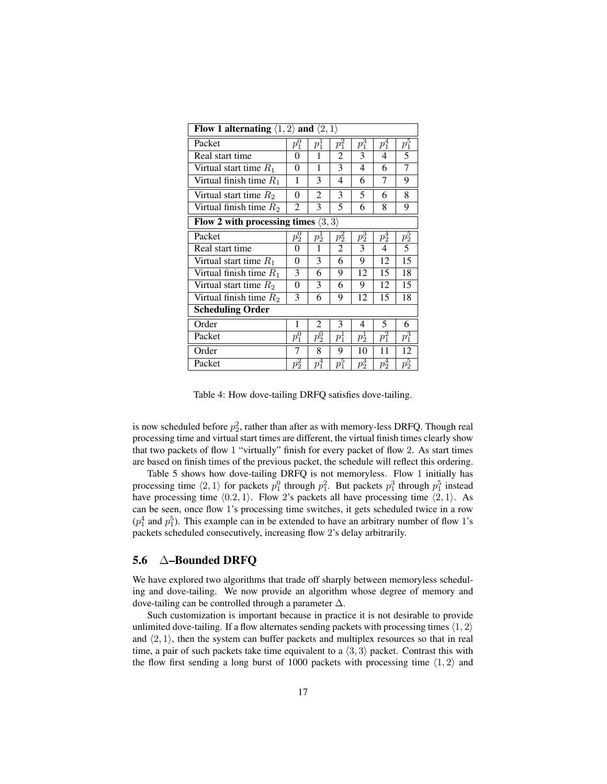| Flow 1 alternating $\langle 1, 2 \rangle$ and $\langle 2, 1 \rangle$ |                |         |                |                                  |         |                   |
|----------------------------------------------------------------------|----------------|---------|----------------|----------------------------------|---------|-------------------|
| Packet                                                               | $p_1^0$        | $p_1^1$ | $p_1^2$        | $\underline{p}_1^{\overline{3}}$ | $p_1^4$ | $p_1^5$           |
| Real start time                                                      | 0              | 1       | $\overline{2}$ | 3                                | 4       | $\overline{5}$    |
| Virtual start time $R_1$                                             | 0              | 1       | 3              | 4                                | 6       | 7                 |
| Virtual finish time $R_1$                                            | 1              | 3       | 4              | 6                                | 7       | 9                 |
| Virtual start time $R_2$                                             | 0              | 2       | 3              | 5                                | 6       | 8                 |
| Virtual finish time $R_2$                                            | $\overline{c}$ | 3       | 5              | 6                                | 8       | 9                 |
| Flow 2 with processing times $\langle 3, 3 \rangle$                  |                |         |                |                                  |         |                   |
| Packet                                                               | $p_2^0$        | $p^1_2$ | $p_2^2$        | $p_2^3$                          | $p_2^4$ | $\frac{p_2^5}{5}$ |
| Real start time                                                      | 0              | 1       | $\overline{2}$ | $\overline{3}$                   | 4       |                   |
| Virtual start time $R_1$                                             | 0              | 3       | 6              | 9                                | 12      | 15                |
| Virtual finish time $R_1$                                            | 3              | 6       | 9              | 12                               | 15      | 18                |
| Virtual start time $R_2$                                             | 0              | 3       | 6              | 9                                | 12      | 15                |
| Virtual finish time $R_2$                                            | 3              | 6       | 9              | 12                               | 15      | 18                |
| <b>Scheduling Order</b>                                              |                |         |                |                                  |         |                   |
| Order                                                                | 1              | 2       | 3              | 4                                | 5       | 6                 |
| Packet                                                               | $p_1^0$        | $p_2^0$ | $p_1^1$        | $p_2^1$                          | $p_1^2$ | $p_1^3$           |
| Order                                                                | 7              | 8       | 9              | 10                               | 11      | 12                |
| Packet                                                               | $p_2^2$        | $p_1^4$ | $p_1^5$        | $p_2^3$                          | $p_2^4$ | $p_2^5$           |

Table 4: How dove-tailing DRFQ satisfies dove-tailing.

is now scheduled before  $p_2^2$ , rather than after as with memory-less DRFQ. Though real processing time and virtual start times are different, the virtual finish times clearly show that two packets of flow 1 "virtually" finish for every packet of flow 2. As start times are based on finish times of the previous packet, the schedule will reflect this ordering.

Table 5 shows how dove-tailing DRFQ is not memoryless. Flow 1 initially has processing time  $\langle 2, 1 \rangle$  for packets  $p_1^0$  through  $p_1^2$ . But packets  $p_1^3$  through  $p_1^5$  instead have processing time  $(0.2, 1)$ . Flow 2's packets all have processing time  $(2, 1)$ . As can be seen, once flow 1's processing time switches, it gets scheduled twice in a row  $(p_1^4$  and  $p_1^5$ ). This example can in be extended to have an arbitrary number of flow 1's packets scheduled consecutively, increasing flow 2's delay arbitrarily.

## 5.6 ∆–Bounded DRFQ

We have explored two algorithms that trade off sharply between memoryless scheduling and dove-tailing. We now provide an algorithm whose degree of memory and dove-tailing can be controlled through a parameter ∆.

Such customization is important because in practice it is not desirable to provide unlimited dove-tailing. If a flow alternates sending packets with processing times  $\langle 1, 2 \rangle$ and  $\langle 2, 1 \rangle$ , then the system can buffer packets and multiplex resources so that in real time, a pair of such packets take time equivalent to a  $\langle 3, 3 \rangle$  packet. Contrast this with the flow first sending a long burst of 1000 packets with processing time  $\langle 1, 2 \rangle$  and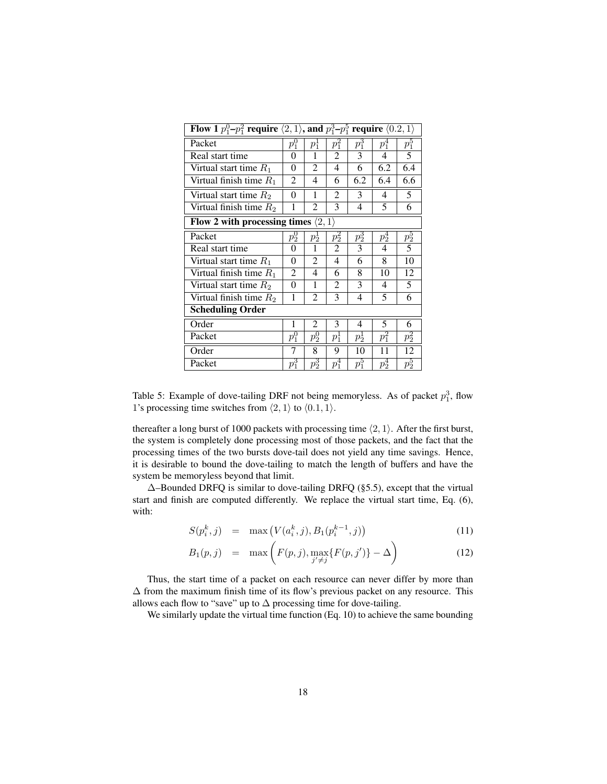| Flow 1 $p_1^0$ – $p_1^2$ require $\langle 2, 1 \rangle$ , and $p_1^3$ – $p_1^5$ require $\langle 0.2, 1 \rangle$ |         |                |                |                |                |                       |
|------------------------------------------------------------------------------------------------------------------|---------|----------------|----------------|----------------|----------------|-----------------------|
| Packet                                                                                                           | $p_1^0$ | $p_1^1$        | $p_1^2$        | $p_1^3$        | $p_1^4$        | $\frac{p_1^5}{5}$     |
| Real start time                                                                                                  | 0       | 1              | $\overline{2}$ | $\overline{3}$ | 4              |                       |
| Virtual start time $R_1$                                                                                         | 0       | $\overline{2}$ | 4              | 6              | 6.2            | 6.4                   |
| Virtual finish time $R_1$                                                                                        | 2       | 4              | 6              | 6.2            | 6.4            | 6.6                   |
| Virtual start time $R_2$                                                                                         | 0       | 1              | 2              | 3              | 4              | 5                     |
| Virtual finish time $R_2$                                                                                        | 1       | 2              | 3              | 4              | 5              | 6                     |
| Flow 2 with processing times $\langle 2, 1 \rangle$                                                              |         |                |                |                |                |                       |
| Packet                                                                                                           | $p_2^0$ | $p^1_2$        | $p_2^2$        | $p_2^3$        | $p_2^4$        | $\frac{p_{2}^{5}}{5}$ |
| Real start time                                                                                                  | 0       | 1              | $\overline{2}$ | $\overline{3}$ | $\overline{4}$ |                       |
| Virtual start time $R_1$                                                                                         | 0       | $\overline{2}$ | 4              | 6              | 8              | 10                    |
| Virtual finish time $R_1$                                                                                        | 2       | 4              | 6              | 8              | 10             | 12                    |
| Virtual start time $R_2$                                                                                         | 0       | 1              | 2              | 3              | 4              | 5                     |
| Virtual finish time $R_2$                                                                                        | 1       | 2              | 3              | 4              | 5              | 6                     |
| <b>Scheduling Order</b>                                                                                          |         |                |                |                |                |                       |
| Order                                                                                                            | 1       | 2              | 3              | 4              | 5              | 6                     |
| Packet                                                                                                           | $p_1^0$ | $p_2^0$        | $p_1^1$        | $p_2^1$        | $p_1^2$        | $p_2^2$               |
| Order                                                                                                            | 7       | 8              | 9              | 10             | 11             | 12                    |
| Packet                                                                                                           | $p_1^3$ | $p_2^3$        | $p_1^4$        | $p_1^5$        | $p_2^4$        | $p_2^5$               |

Table 5: Example of dove-tailing DRF not being memoryless. As of packet  $p_1^3$ , flow 1's processing time switches from  $\langle 2, 1 \rangle$  to  $\langle 0.1, 1 \rangle$ .

thereafter a long burst of 1000 packets with processing time  $\langle 2, 1 \rangle$ . After the first burst, the system is completely done processing most of those packets, and the fact that the processing times of the two bursts dove-tail does not yield any time savings. Hence, it is desirable to bound the dove-tailing to match the length of buffers and have the system be memoryless beyond that limit.

∆–Bounded DRFQ is similar to dove-tailing DRFQ (§5.5), except that the virtual start and finish are computed differently. We replace the virtual start time, Eq. (6), with:

$$
S(p_i^k, j) = \max (V(a_i^k, j), B_1(p_i^{k-1}, j))
$$
\n(11)

$$
B_1(p,j) = \max\left(F(p,j), \max_{j' \neq j} \{F(p,j')\} - \Delta\right)
$$
 (12)

Thus, the start time of a packet on each resource can never differ by more than ∆ from the maximum finish time of its flow's previous packet on any resource. This allows each flow to "save" up to  $\Delta$  processing time for dove-tailing.

We similarly update the virtual time function (Eq. 10) to achieve the same bounding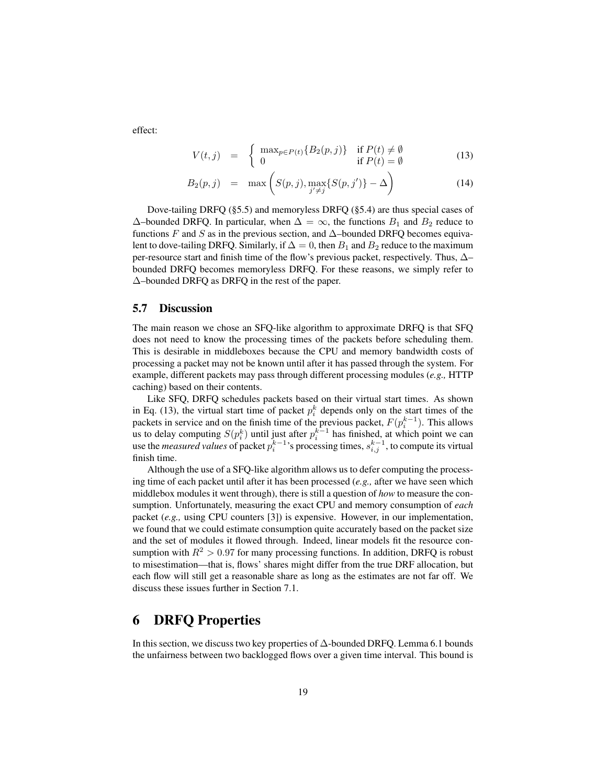effect:

$$
V(t,j) = \begin{cases} \max_{p \in P(t)} \{B_2(p,j)\} & \text{if } P(t) \neq \emptyset \\ 0 & \text{if } P(t) = \emptyset \end{cases}
$$
(13)

$$
B_2(p,j) = \max\left(S(p,j), \max_{j' \neq j} \{S(p,j')\} - \Delta\right)
$$
 (14)

Dove-tailing DRFQ (§5.5) and memoryless DRFQ (§5.4) are thus special cases of  $\Delta$ –bounded DRFQ. In particular, when  $\Delta = \infty$ , the functions  $B_1$  and  $B_2$  reduce to functions F and S as in the previous section, and  $\Delta$ –bounded DRFQ becomes equivalent to dove-tailing DRFQ. Similarly, if  $\Delta = 0$ , then  $B_1$  and  $B_2$  reduce to the maximum per-resource start and finish time of the flow's previous packet, respectively. Thus, ∆– bounded DRFQ becomes memoryless DRFQ. For these reasons, we simply refer to ∆–bounded DRFQ as DRFQ in the rest of the paper.

## 5.7 Discussion

The main reason we chose an SFQ-like algorithm to approximate DRFQ is that SFQ does not need to know the processing times of the packets before scheduling them. This is desirable in middleboxes because the CPU and memory bandwidth costs of processing a packet may not be known until after it has passed through the system. For example, different packets may pass through different processing modules (*e.g.,* HTTP caching) based on their contents.

Like SFQ, DRFQ schedules packets based on their virtual start times. As shown in Eq. (13), the virtual start time of packet  $p_i^k$  depends only on the start times of the packets in service and on the finish time of the previous packet,  $F(p_i^{k-1})$ . This allows us to delay computing  $S(p_i^k)$  until just after  $p_i^{k-1}$  has finished, at which point we can use the *measured values* of packet  $p_i^{k-1}$ 's processing times,  $s_{i,j}^{k-1}$ , to compute its virtual finish time.

Although the use of a SFQ-like algorithm allows us to defer computing the processing time of each packet until after it has been processed (*e.g.,* after we have seen which middlebox modules it went through), there is still a question of *how* to measure the consumption. Unfortunately, measuring the exact CPU and memory consumption of *each* packet (*e.g.,* using CPU counters [3]) is expensive. However, in our implementation, we found that we could estimate consumption quite accurately based on the packet size and the set of modules it flowed through. Indeed, linear models fit the resource consumption with  $R^2 > 0.97$  for many processing functions. In addition, DRFQ is robust to misestimation—that is, flows' shares might differ from the true DRF allocation, but each flow will still get a reasonable share as long as the estimates are not far off. We discuss these issues further in Section 7.1.

# 6 DRFQ Properties

In this section, we discuss two key properties of ∆-bounded DRFQ. Lemma 6.1 bounds the unfairness between two backlogged flows over a given time interval. This bound is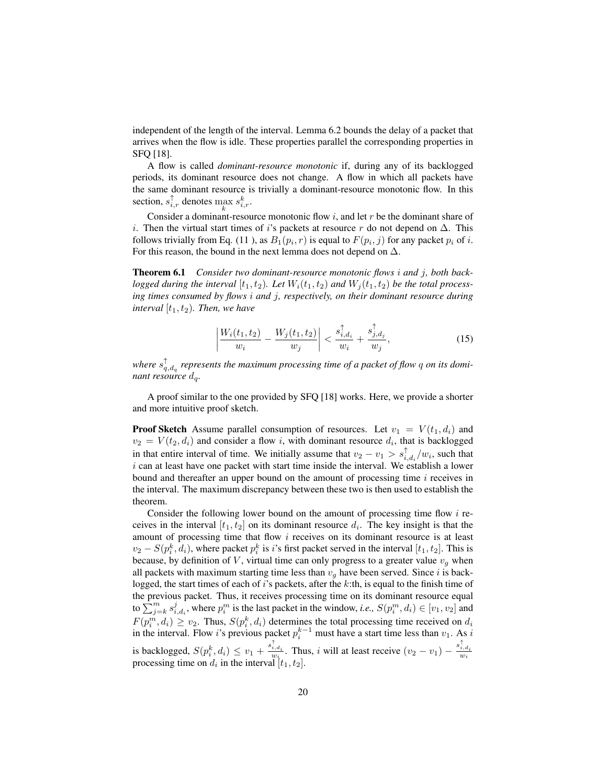independent of the length of the interval. Lemma 6.2 bounds the delay of a packet that arrives when the flow is idle. These properties parallel the corresponding properties in SFQ [18].

A flow is called *dominant-resource monotonic* if, during any of its backlogged periods, its dominant resource does not change. A flow in which all packets have the same dominant resource is trivially a dominant-resource monotonic flow. In this section,  $s_{i,r}^{\uparrow}$  denotes  $\max_{k} s_{i,r}^{k}$ .

Consider a dominant-resource monotonic flow  $i$ , and let  $r$  be the dominant share of i. Then the virtual start times of i's packets at resource r do not depend on  $\Delta$ . This follows trivially from Eq. (11), as  $B_1(p_i, r)$  is equal to  $F(p_i, j)$  for any packet  $p_i$  of  $i$ . For this reason, the bound in the next lemma does not depend on  $\Delta$ .

Theorem 6.1 *Consider two dominant-resource monotonic flows* i *and* j*, both back*logged during the interval  $[t_1, t_2)$ . Let  $W_i(t_1, t_2)$  and  $W_j(t_1, t_2)$  be the total process*ing times consumed by flows* i *and* j*, respectively, on their dominant resource during interval*  $[t_1, t_2)$ *. Then, we have* 

$$
\left| \frac{W_i(t_1, t_2)}{w_i} - \frac{W_j(t_1, t_2)}{w_j} \right| < \frac{s_{i, d_i}^{\uparrow}}{w_i} + \frac{s_{j, d_j}^{\uparrow}}{w_j},\tag{15}
$$

where  $s_{q,d_q}^{\uparrow}$  represents the maximum processing time of a packet of flow q on its domi*nant resource*  $d_q$ *.* 

A proof similar to the one provided by SFQ [18] works. Here, we provide a shorter and more intuitive proof sketch.

**Proof Sketch** Assume parallel consumption of resources. Let  $v_1 = V(t_1, d_i)$  and  $v_2 = V(t_2, d_i)$  and consider a flow i, with dominant resource  $d_i$ , that is backlogged in that entire interval of time. We initially assume that  $v_2 - v_1 > s_{i,d_i}^{\uparrow}/w_i$ , such that  $i$  can at least have one packet with start time inside the interval. We establish a lower bound and thereafter an upper bound on the amount of processing time  $i$  receives in the interval. The maximum discrepancy between these two is then used to establish the theorem.

Consider the following lower bound on the amount of processing time flow  $i$  receives in the interval  $[t_1, t_2]$  on its dominant resource  $d_i$ . The key insight is that the amount of processing time that flow  $i$  receives on its dominant resource is at least  $v_2 - S(p_i^k, d_i)$ , where packet  $p_i^k$  is i's first packet served in the interval  $[t_1, t_2]$ . This is because, by definition of V, virtual time can only progress to a greater value  $v_q$  when all packets with maximum starting time less than  $v<sub>q</sub>$  have been served. Since i is backlogged, the start times of each of  $i$ 's packets, after the  $k$ :th, is equal to the finish time of the previous packet. Thus, it receives processing time on its dominant resource equal to  $\sum_{j=k}^{m} s_{i,d_i}^j$ , where  $p_i^m$  is the last packet in the window, *i.e.*,  $S(p_i^m, d_i) \in [v_1, v_2]$  and  $F(p_i^m, d_i) \ge v_2$ . Thus,  $S(p_i^k, d_i)$  determines the total processing time received on  $d_i$ in the interval. Flow i's previous packet  $p_i^{k-1}$  must have a start time less than  $v_1$ . As i is backlogged,  $S(p_i^k, d_i) \le v_1 + \frac{s_{i,d_i}^{\uparrow}}{w_i}$ . Thus, *i* will at least receive  $(v_2 - v_1) - \frac{s_{i,d_i}^{\uparrow}}{w_i}$  processing time on  $d_i$  in the interval  $[t_1, t_2]$ .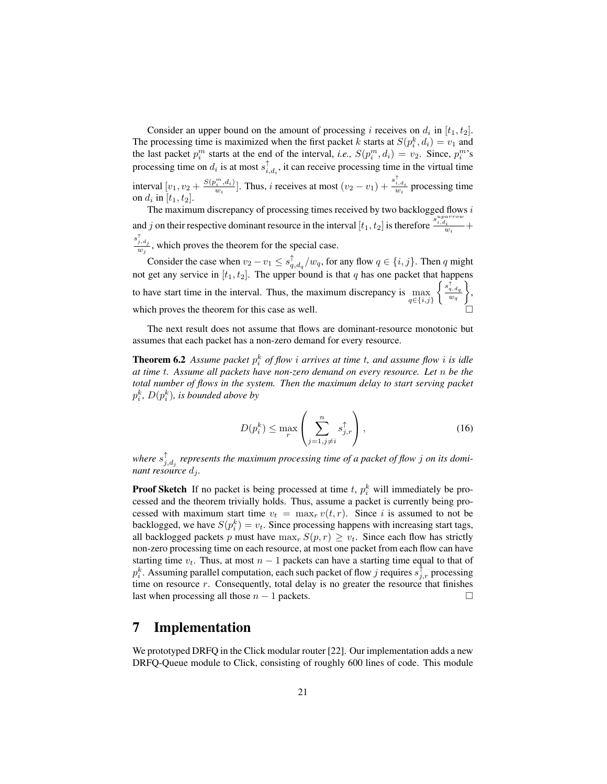Consider an upper bound on the amount of processing i receives on  $d_i$  in  $[t_1, t_2]$ . The processing time is maximized when the first packet k starts at  $S(p_i^k, d_i) = v_1$  and the last packet  $p_i^m$  starts at the end of the interval, *i.e.*,  $S(p_i^m, d_i) = v_2$ . Since,  $p_i^m$ 's processing time on  $d_i$  is at most  $s_{i,d_i}^{\uparrow}$ , it can receive processing time in the virtual time interval  $[v_1, v_2 + \frac{S(p_i^m, d_i)}{w_i}]$  $\frac{w_i^m, d_i}{w_i}$ ]. Thus, *i* receives at most  $(v_2 - v_1) + \frac{s_{i,d_i}^{\dagger}}{w_i}$  processing time on  $d_i$  in  $[t_1, t_2]$ .

The maximum discrepancy of processing times received by two backlogged flows  $i$ and j on their respective dominant resource in the interval  $[t_1, t_2]$  is therefore  $\frac{s_{i,d_i}}{w_i}$  +  $\frac{s_{j,d_j}^{\dagger}}{w_j}$ , which proves the theorem for the special case.

Consider the case when  $v_2 - v_1 \leq s_{q,d_q}^{\uparrow}/w_q$ , for any flow  $q \in \{i, j\}$ . Then q might not get any service in  $[t_1, t_2]$ . The upper bound is that q has one packet that happens to have start time in the interval. Thus, the maximum discrepancy is  $\max_{q \in \{i,j\}}$  $\begin{cases} s_{q,dq}^{\uparrow} \\ \frac{w_q}{w_q} \end{cases}$  $\big\}$ which proves the theorem for this case as well.  $\square$ 

The next result does not assume that flows are dominant-resource monotonic but assumes that each packet has a non-zero demand for every resource.

**Theorem 6.2** Assume packet  $p_i^k$  of flow *i* arrives at time t, and assume flow *i* is idle *at time* t*. Assume all packets have non-zero demand on every resource. Let* n *be the total number of flows in the system. Then the maximum delay to start serving packet*  $p_i^k$ ,  $D(p_i^k)$ , is bounded above by

$$
D(p_i^k) \le \max_r \left( \sum_{j=1, j \neq i}^n s_{j,r}^{\uparrow} \right),\tag{16}
$$

where  $s_{j,d_j}^{\uparrow}$  represents the maximum processing time of a packet of flow  $j$  on its domi*nant resource*  $d_i$ .

**Proof Sketch** If no packet is being processed at time t,  $p_i^k$  will immediately be processed and the theorem trivially holds. Thus, assume a packet is currently being processed with maximum start time  $v_t = \max_r v(t, r)$ . Since i is assumed to not be backlogged, we have  $S(p_i^k) = v_t$ . Since processing happens with increasing start tags, all backlogged packets p must have  $\max_r S(p,r) \geq v_t$ . Since each flow has strictly non-zero processing time on each resource, at most one packet from each flow can have starting time  $v_t$ . Thus, at most  $n - 1$  packets can have a starting time equal to that of  $p_i^k$ . Assuming parallel computation, each such packet of flow j requires  $s_{j,r}^{\uparrow}$  processing time on resource  $r$ . Consequently, total delay is no greater the resource that finishes last when processing all those  $n - 1$  packets.  $□$ 

# 7 Implementation

We prototyped DRFQ in the Click modular router [22]. Our implementation adds a new DRFQ-Queue module to Click, consisting of roughly 600 lines of code. This module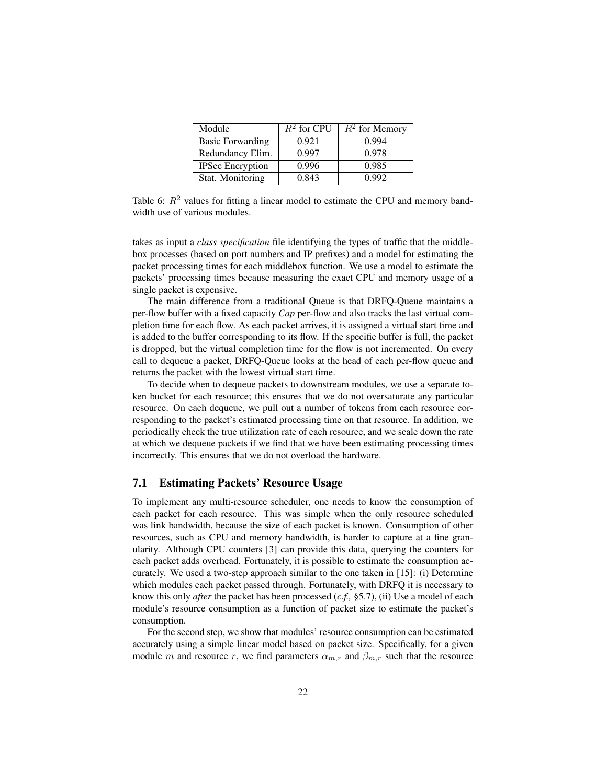| Module                  | $R^2$ for CPU | $R^2$ for Memory |
|-------------------------|---------------|------------------|
| <b>Basic Forwarding</b> | 0.921         | 0.994            |
| Redundancy Elim.        | 0.997         | 0.978            |
| <b>IPSec Encryption</b> | 0.996         | 0.985            |
| Stat. Monitoring        | 0.843         | 0.992            |

Table 6:  $R<sup>2</sup>$  values for fitting a linear model to estimate the CPU and memory bandwidth use of various modules.

takes as input a *class specification* file identifying the types of traffic that the middlebox processes (based on port numbers and IP prefixes) and a model for estimating the packet processing times for each middlebox function. We use a model to estimate the packets' processing times because measuring the exact CPU and memory usage of a single packet is expensive.

The main difference from a traditional Queue is that DRFQ-Queue maintains a per-flow buffer with a fixed capacity *Cap* per-flow and also tracks the last virtual completion time for each flow. As each packet arrives, it is assigned a virtual start time and is added to the buffer corresponding to its flow. If the specific buffer is full, the packet is dropped, but the virtual completion time for the flow is not incremented. On every call to dequeue a packet, DRFQ-Queue looks at the head of each per-flow queue and returns the packet with the lowest virtual start time.

To decide when to dequeue packets to downstream modules, we use a separate token bucket for each resource; this ensures that we do not oversaturate any particular resource. On each dequeue, we pull out a number of tokens from each resource corresponding to the packet's estimated processing time on that resource. In addition, we periodically check the true utilization rate of each resource, and we scale down the rate at which we dequeue packets if we find that we have been estimating processing times incorrectly. This ensures that we do not overload the hardware.

## 7.1 Estimating Packets' Resource Usage

To implement any multi-resource scheduler, one needs to know the consumption of each packet for each resource. This was simple when the only resource scheduled was link bandwidth, because the size of each packet is known. Consumption of other resources, such as CPU and memory bandwidth, is harder to capture at a fine granularity. Although CPU counters [3] can provide this data, querying the counters for each packet adds overhead. Fortunately, it is possible to estimate the consumption accurately. We used a two-step approach similar to the one taken in [15]: (i) Determine which modules each packet passed through. Fortunately, with DRFQ it is necessary to know this only *after* the packet has been processed (*c.f.,* §5.7), (ii) Use a model of each module's resource consumption as a function of packet size to estimate the packet's consumption.

For the second step, we show that modules' resource consumption can be estimated accurately using a simple linear model based on packet size. Specifically, for a given module m and resource r, we find parameters  $\alpha_{m,r}$  and  $\beta_{m,r}$  such that the resource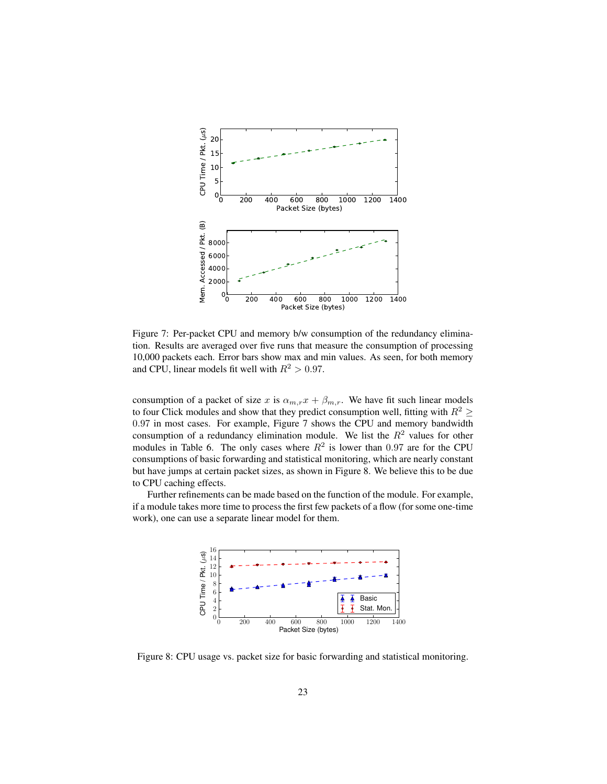

Figure 7: Per-packet CPU and memory b/w consumption of the redundancy elimination. Results are averaged over five runs that measure the consumption of processing 10,000 packets each. Error bars show max and min values. As seen, for both memory and CPU, linear models fit well with  $R^2 > 0.97$ .

consumption of a packet of size x is  $\alpha_{m,r} x + \beta_{m,r}$ . We have fit such linear models to four Click modules and show that they predict consumption well, fitting with  $R^2 \geq$ 0.97 in most cases. For example, Figure 7 shows the CPU and memory bandwidth consumption of a redundancy elimination module. We list the  $R^2$  values for other modules in Table 6. The only cases where  $R^2$  is lower than 0.97 are for the CPU consumptions of basic forwarding and statistical monitoring, which are nearly constant but have jumps at certain packet sizes, as shown in Figure 8. We believe this to be due to CPU caching effects.

Further refinements can be made based on the function of the module. For example, if a module takes more time to process the first few packets of a flow (for some one-time work), one can use a separate linear model for them.



Figure 8: CPU usage vs. packet size for basic forwarding and statistical monitoring.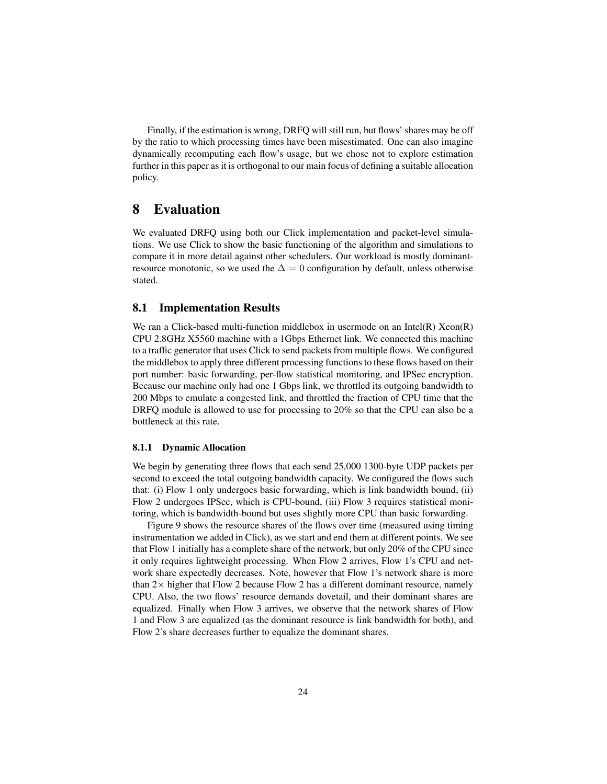Finally, if the estimation is wrong, DRFQ will still run, but flows' shares may be off by the ratio to which processing times have been misestimated. One can also imagine dynamically recomputing each flow's usage, but we chose not to explore estimation further in this paper as it is orthogonal to our main focus of defining a suitable allocation policy.

# 8 Evaluation

We evaluated DRFQ using both our Click implementation and packet-level simulations. We use Click to show the basic functioning of the algorithm and simulations to compare it in more detail against other schedulers. Our workload is mostly dominantresource monotonic, so we used the  $\Delta = 0$  configuration by default, unless otherwise stated.

#### 8.1 Implementation Results

We ran a Click-based multi-function middlebox in usermode on an Intel $(R)$  Xeon $(R)$ CPU 2.8GHz X5560 machine with a 1Gbps Ethernet link. We connected this machine to a traffic generator that uses Click to send packets from multiple flows. We configured the middlebox to apply three different processing functions to these flows based on their port number: basic forwarding, per-flow statistical monitoring, and IPSec encryption. Because our machine only had one 1 Gbps link, we throttled its outgoing bandwidth to 200 Mbps to emulate a congested link, and throttled the fraction of CPU time that the DRFQ module is allowed to use for processing to 20% so that the CPU can also be a bottleneck at this rate.

#### 8.1.1 Dynamic Allocation

We begin by generating three flows that each send 25,000 1300-byte UDP packets per second to exceed the total outgoing bandwidth capacity. We configured the flows such that: (i) Flow 1 only undergoes basic forwarding, which is link bandwidth bound, (ii) Flow 2 undergoes IPSec, which is CPU-bound, (iii) Flow 3 requires statistical monitoring, which is bandwidth-bound but uses slightly more CPU than basic forwarding.

Figure 9 shows the resource shares of the flows over time (measured using timing instrumentation we added in Click), as we start and end them at different points. We see that Flow 1 initially has a complete share of the network, but only 20% of the CPU since it only requires lightweight processing. When Flow 2 arrives, Flow 1's CPU and network share expectedly decreases. Note, however that Flow 1's network share is more than  $2\times$  higher that Flow 2 because Flow 2 has a different dominant resource, namely CPU. Also, the two flows' resource demands dovetail, and their dominant shares are equalized. Finally when Flow 3 arrives, we observe that the network shares of Flow 1 and Flow 3 are equalized (as the dominant resource is link bandwidth for both), and Flow 2's share decreases further to equalize the dominant shares.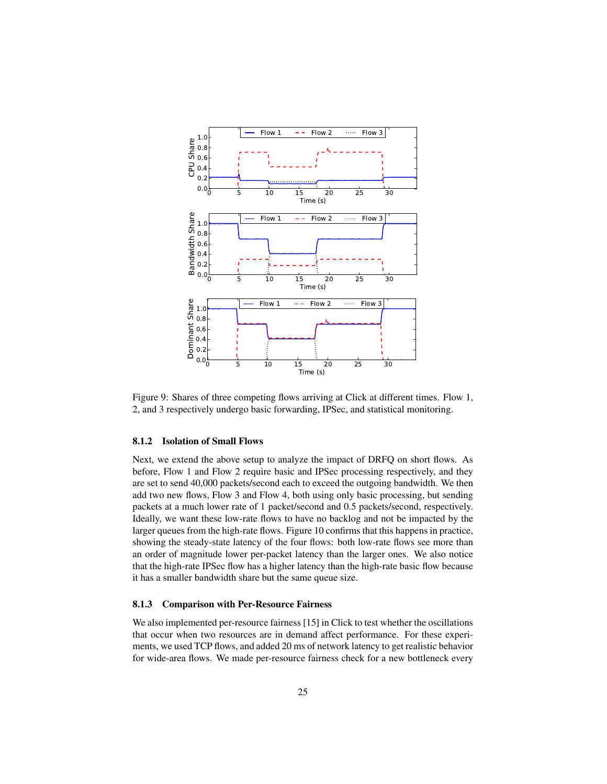

Figure 9: Shares of three competing flows arriving at Click at different times. Flow 1, 2, and 3 respectively undergo basic forwarding, IPSec, and statistical monitoring.

## 8.1.2 Isolation of Small Flows

Next, we extend the above setup to analyze the impact of DRFQ on short flows. As before, Flow 1 and Flow 2 require basic and IPSec processing respectively, and they are set to send 40,000 packets/second each to exceed the outgoing bandwidth. We then add two new flows, Flow 3 and Flow 4, both using only basic processing, but sending packets at a much lower rate of 1 packet/second and 0.5 packets/second, respectively. Ideally, we want these low-rate flows to have no backlog and not be impacted by the larger queues from the high-rate flows. Figure 10 confirms that this happens in practice, showing the steady-state latency of the four flows: both low-rate flows see more than an order of magnitude lower per-packet latency than the larger ones. We also notice that the high-rate IPSec flow has a higher latency than the high-rate basic flow because it has a smaller bandwidth share but the same queue size.

## 8.1.3 Comparison with Per-Resource Fairness

We also implemented per-resource fairness [15] in Click to test whether the oscillations that occur when two resources are in demand affect performance. For these experiments, we used TCP flows, and added 20 ms of network latency to get realistic behavior for wide-area flows. We made per-resource fairness check for a new bottleneck every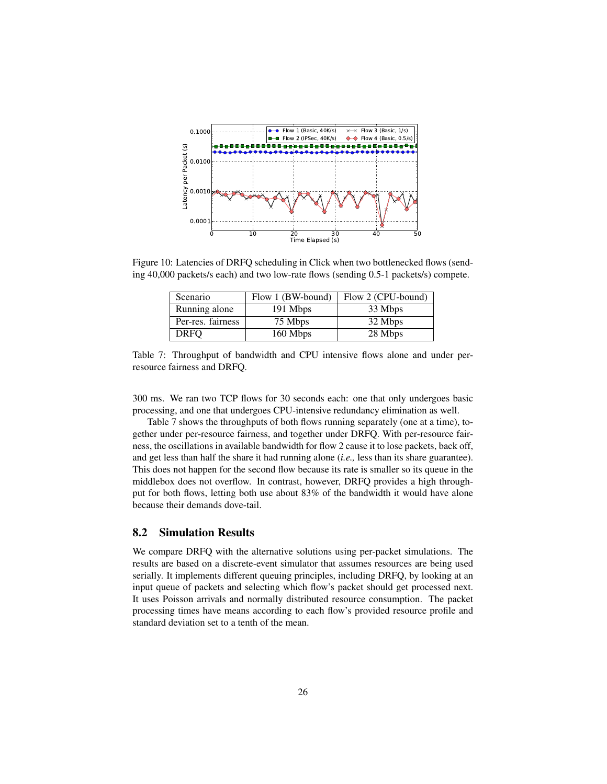

Figure 10: Latencies of DRFQ scheduling in Click when two bottlenecked flows (sending 40,000 packets/s each) and two low-rate flows (sending 0.5-1 packets/s) compete.

| Scenario          | Flow 1 (BW-bound) | Flow 2 (CPU-bound) |
|-------------------|-------------------|--------------------|
| Running alone     | 191 Mbps          | 33 Mbps            |
| Per-res. fairness | 75 Mbps           | 32 Mbps            |
| <b>DRFO</b>       | 160 Mbps          | 28 Mbps            |

Table 7: Throughput of bandwidth and CPU intensive flows alone and under perresource fairness and DRFQ.

300 ms. We ran two TCP flows for 30 seconds each: one that only undergoes basic processing, and one that undergoes CPU-intensive redundancy elimination as well.

Table 7 shows the throughputs of both flows running separately (one at a time), together under per-resource fairness, and together under DRFQ. With per-resource fairness, the oscillations in available bandwidth for flow 2 cause it to lose packets, back off, and get less than half the share it had running alone (*i.e.,* less than its share guarantee). This does not happen for the second flow because its rate is smaller so its queue in the middlebox does not overflow. In contrast, however, DRFQ provides a high throughput for both flows, letting both use about 83% of the bandwidth it would have alone because their demands dove-tail.

### 8.2 Simulation Results

We compare DRFQ with the alternative solutions using per-packet simulations. The results are based on a discrete-event simulator that assumes resources are being used serially. It implements different queuing principles, including DRFQ, by looking at an input queue of packets and selecting which flow's packet should get processed next. It uses Poisson arrivals and normally distributed resource consumption. The packet processing times have means according to each flow's provided resource profile and standard deviation set to a tenth of the mean.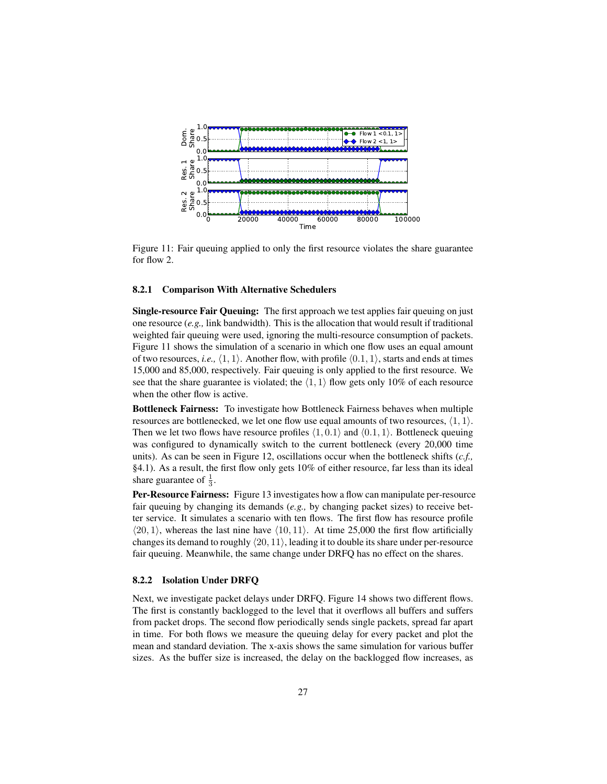

Figure 11: Fair queuing applied to only the first resource violates the share guarantee for flow 2.

#### 8.2.1 Comparison With Alternative Schedulers

Single-resource Fair Queuing: The first approach we test applies fair queuing on just one resource (*e.g.,* link bandwidth). This is the allocation that would result if traditional weighted fair queuing were used, ignoring the multi-resource consumption of packets. Figure 11 shows the simulation of a scenario in which one flow uses an equal amount of two resources, *i.e.*,  $\langle 1, 1 \rangle$ . Another flow, with profile  $\langle 0.1, 1 \rangle$ , starts and ends at times 15,000 and 85,000, respectively. Fair queuing is only applied to the first resource. We see that the share guarantee is violated; the  $\langle 1, 1 \rangle$  flow gets only 10% of each resource when the other flow is active.

Bottleneck Fairness: To investigate how Bottleneck Fairness behaves when multiple resources are bottlenecked, we let one flow use equal amounts of two resources,  $\langle 1, 1 \rangle$ . Then we let two flows have resource profiles  $\langle 1, 0.1 \rangle$  and  $\langle 0.1, 1 \rangle$ . Bottleneck queuing was configured to dynamically switch to the current bottleneck (every 20,000 time units). As can be seen in Figure 12, oscillations occur when the bottleneck shifts (*c.f.,* §4.1). As a result, the first flow only gets 10% of either resource, far less than its ideal share guarantee of  $\frac{1}{3}$ .

Per-Resource Fairness: Figure 13 investigates how a flow can manipulate per-resource fair queuing by changing its demands (*e.g.,* by changing packet sizes) to receive better service. It simulates a scenario with ten flows. The first flow has resource profile  $\langle 20, 1 \rangle$ , whereas the last nine have  $\langle 10, 11 \rangle$ . At time 25,000 the first flow artificially changes its demand to roughly  $\langle 20, 11 \rangle$ , leading it to double its share under per-resource fair queuing. Meanwhile, the same change under DRFQ has no effect on the shares.

#### 8.2.2 Isolation Under DRFQ

Next, we investigate packet delays under DRFQ. Figure 14 shows two different flows. The first is constantly backlogged to the level that it overflows all buffers and suffers from packet drops. The second flow periodically sends single packets, spread far apart in time. For both flows we measure the queuing delay for every packet and plot the mean and standard deviation. The x-axis shows the same simulation for various buffer sizes. As the buffer size is increased, the delay on the backlogged flow increases, as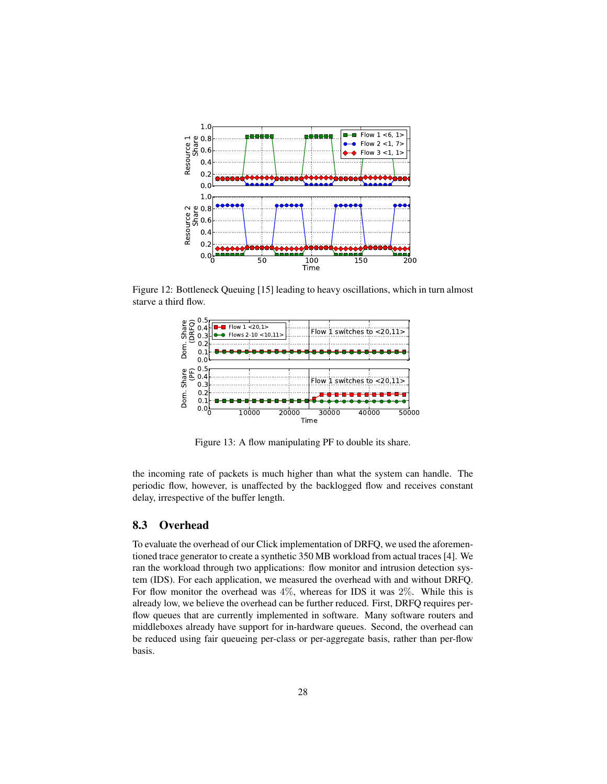

Figure 12: Bottleneck Queuing [15] leading to heavy oscillations, which in turn almost starve a third flow.



Figure 13: A flow manipulating PF to double its share.

the incoming rate of packets is much higher than what the system can handle. The periodic flow, however, is unaffected by the backlogged flow and receives constant delay, irrespective of the buffer length.

## 8.3 Overhead

To evaluate the overhead of our Click implementation of DRFQ, we used the aforementioned trace generator to create a synthetic 350 MB workload from actual traces [4]. We ran the workload through two applications: flow monitor and intrusion detection system (IDS). For each application, we measured the overhead with and without DRFQ. For flow monitor the overhead was  $4\%$ , whereas for IDS it was  $2\%$ . While this is already low, we believe the overhead can be further reduced. First, DRFQ requires perflow queues that are currently implemented in software. Many software routers and middleboxes already have support for in-hardware queues. Second, the overhead can be reduced using fair queueing per-class or per-aggregate basis, rather than per-flow basis.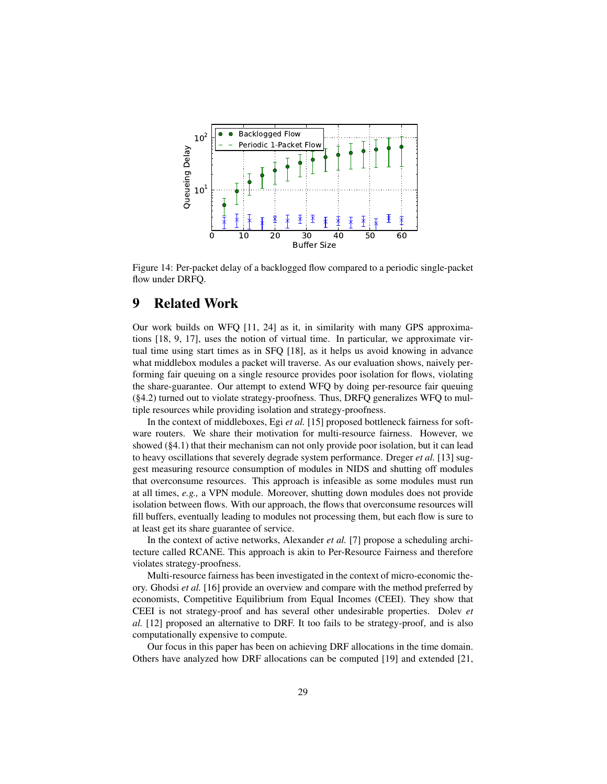

Figure 14: Per-packet delay of a backlogged flow compared to a periodic single-packet flow under DRFQ.

# 9 Related Work

Our work builds on WFQ [11, 24] as it, in similarity with many GPS approximations [18, 9, 17], uses the notion of virtual time. In particular, we approximate virtual time using start times as in SFQ [18], as it helps us avoid knowing in advance what middlebox modules a packet will traverse. As our evaluation shows, naively performing fair queuing on a single resource provides poor isolation for flows, violating the share-guarantee. Our attempt to extend WFQ by doing per-resource fair queuing (§4.2) turned out to violate strategy-proofness. Thus, DRFQ generalizes WFQ to multiple resources while providing isolation and strategy-proofness.

In the context of middleboxes, Egi *et al.* [15] proposed bottleneck fairness for software routers. We share their motivation for multi-resource fairness. However, we showed (§4.1) that their mechanism can not only provide poor isolation, but it can lead to heavy oscillations that severely degrade system performance. Dreger *et al.* [13] suggest measuring resource consumption of modules in NIDS and shutting off modules that overconsume resources. This approach is infeasible as some modules must run at all times, *e.g.,* a VPN module. Moreover, shutting down modules does not provide isolation between flows. With our approach, the flows that overconsume resources will fill buffers, eventually leading to modules not processing them, but each flow is sure to at least get its share guarantee of service.

In the context of active networks, Alexander *et al.* [7] propose a scheduling architecture called RCANE. This approach is akin to Per-Resource Fairness and therefore violates strategy-proofness.

Multi-resource fairness has been investigated in the context of micro-economic theory. Ghodsi *et al.* [16] provide an overview and compare with the method preferred by economists, Competitive Equilibrium from Equal Incomes (CEEI). They show that CEEI is not strategy-proof and has several other undesirable properties. Dolev *et al.* [12] proposed an alternative to DRF. It too fails to be strategy-proof, and is also computationally expensive to compute.

Our focus in this paper has been on achieving DRF allocations in the time domain. Others have analyzed how DRF allocations can be computed [19] and extended [21,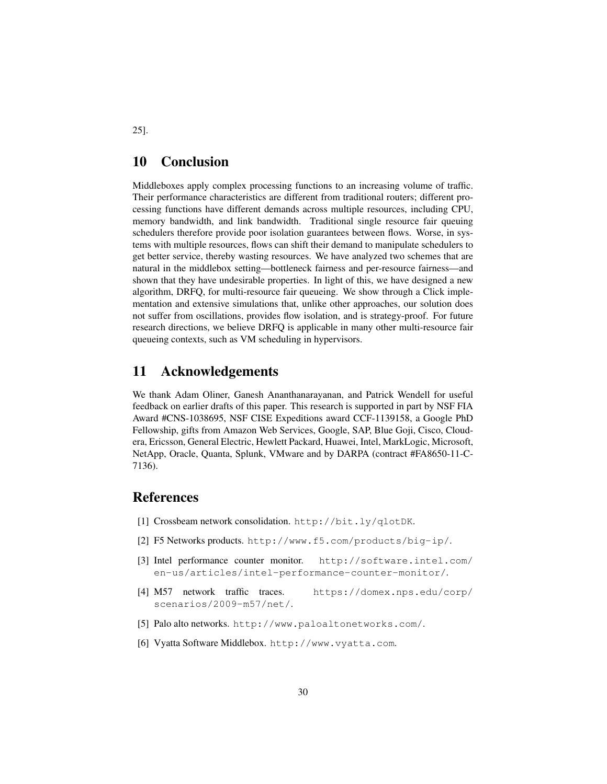# 10 Conclusion

Middleboxes apply complex processing functions to an increasing volume of traffic. Their performance characteristics are different from traditional routers; different processing functions have different demands across multiple resources, including CPU, memory bandwidth, and link bandwidth. Traditional single resource fair queuing schedulers therefore provide poor isolation guarantees between flows. Worse, in systems with multiple resources, flows can shift their demand to manipulate schedulers to get better service, thereby wasting resources. We have analyzed two schemes that are natural in the middlebox setting—bottleneck fairness and per-resource fairness—and shown that they have undesirable properties. In light of this, we have designed a new algorithm, DRFQ, for multi-resource fair queueing. We show through a Click implementation and extensive simulations that, unlike other approaches, our solution does not suffer from oscillations, provides flow isolation, and is strategy-proof. For future research directions, we believe DRFQ is applicable in many other multi-resource fair queueing contexts, such as VM scheduling in hypervisors.

# 11 Acknowledgements

We thank Adam Oliner, Ganesh Ananthanarayanan, and Patrick Wendell for useful feedback on earlier drafts of this paper. This research is supported in part by NSF FIA Award #CNS-1038695, NSF CISE Expeditions award CCF-1139158, a Google PhD Fellowship, gifts from Amazon Web Services, Google, SAP, Blue Goji, Cisco, Cloudera, Ericsson, General Electric, Hewlett Packard, Huawei, Intel, MarkLogic, Microsoft, NetApp, Oracle, Quanta, Splunk, VMware and by DARPA (contract #FA8650-11-C-7136).

# References

- [1] Crossbeam network consolidation. http://bit.ly/qlotDK.
- [2] F5 Networks products. http://www.f5.com/products/big-ip/.
- [3] Intel performance counter monitor. http://software.intel.com/ en-us/articles/intel-performance-counter-monitor/.
- [4] M57 network traffic traces. https://domex.nps.edu/corp/ scenarios/2009-m57/net/.
- [5] Palo alto networks. http://www.paloaltonetworks.com/.
- [6] Vyatta Software Middlebox. http://www.vyatta.com.

30

25].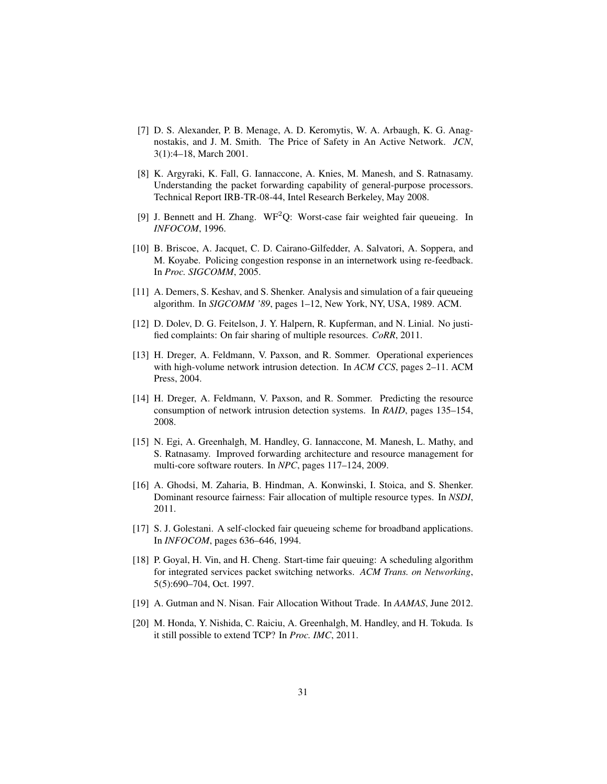- [7] D. S. Alexander, P. B. Menage, A. D. Keromytis, W. A. Arbaugh, K. G. Anagnostakis, and J. M. Smith. The Price of Safety in An Active Network. *JCN*, 3(1):4–18, March 2001.
- [8] K. Argyraki, K. Fall, G. Iannaccone, A. Knies, M. Manesh, and S. Ratnasamy. Understanding the packet forwarding capability of general-purpose processors. Technical Report IRB-TR-08-44, Intel Research Berkeley, May 2008.
- [9] J. Bennett and H. Zhang.  $WF^2Q$ : Worst-case fair weighted fair queueing. In *INFOCOM*, 1996.
- [10] B. Briscoe, A. Jacquet, C. D. Cairano-Gilfedder, A. Salvatori, A. Soppera, and M. Koyabe. Policing congestion response in an internetwork using re-feedback. In *Proc. SIGCOMM*, 2005.
- [11] A. Demers, S. Keshav, and S. Shenker. Analysis and simulation of a fair queueing algorithm. In *SIGCOMM '89*, pages 1–12, New York, NY, USA, 1989. ACM.
- [12] D. Dolev, D. G. Feitelson, J. Y. Halpern, R. Kupferman, and N. Linial. No justified complaints: On fair sharing of multiple resources. *CoRR*, 2011.
- [13] H. Dreger, A. Feldmann, V. Paxson, and R. Sommer. Operational experiences with high-volume network intrusion detection. In *ACM CCS*, pages 2–11. ACM Press, 2004.
- [14] H. Dreger, A. Feldmann, V. Paxson, and R. Sommer. Predicting the resource consumption of network intrusion detection systems. In *RAID*, pages 135–154, 2008.
- [15] N. Egi, A. Greenhalgh, M. Handley, G. Iannaccone, M. Manesh, L. Mathy, and S. Ratnasamy. Improved forwarding architecture and resource management for multi-core software routers. In *NPC*, pages 117–124, 2009.
- [16] A. Ghodsi, M. Zaharia, B. Hindman, A. Konwinski, I. Stoica, and S. Shenker. Dominant resource fairness: Fair allocation of multiple resource types. In *NSDI*, 2011.
- [17] S. J. Golestani. A self-clocked fair queueing scheme for broadband applications. In *INFOCOM*, pages 636–646, 1994.
- [18] P. Goyal, H. Vin, and H. Cheng. Start-time fair queuing: A scheduling algorithm for integrated services packet switching networks. *ACM Trans. on Networking*, 5(5):690–704, Oct. 1997.
- [19] A. Gutman and N. Nisan. Fair Allocation Without Trade. In *AAMAS*, June 2012.
- [20] M. Honda, Y. Nishida, C. Raiciu, A. Greenhalgh, M. Handley, and H. Tokuda. Is it still possible to extend TCP? In *Proc. IMC*, 2011.